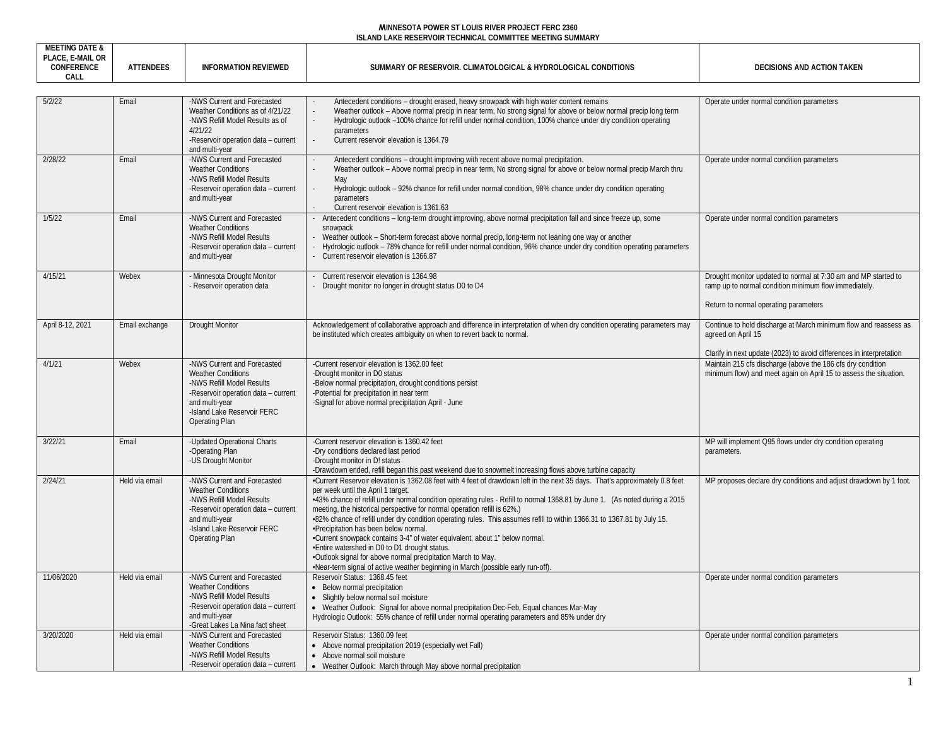| <b>MEETING DATE &amp;</b><br>PLACE, E-MAIL OR |                  |                                                                  |                                                                                                                                                                                                                                         |                                                                      |
|-----------------------------------------------|------------------|------------------------------------------------------------------|-----------------------------------------------------------------------------------------------------------------------------------------------------------------------------------------------------------------------------------------|----------------------------------------------------------------------|
| CONFERENCE                                    | <b>ATTENDEES</b> | <b>INFORMATION REVIEWED</b>                                      | SUMMARY OF RESERVOIR. CLIMATOLOGICAL & HYDROLOGICAL CONDITIONS                                                                                                                                                                          | DECISIONS AND ACTION TAKEN                                           |
| CALL                                          |                  |                                                                  |                                                                                                                                                                                                                                         |                                                                      |
| 5/2/22                                        | Email            | -NWS Current and Forecasted                                      |                                                                                                                                                                                                                                         |                                                                      |
|                                               |                  | Weather Conditions as of 4/21/22                                 | Antecedent conditions – drought erased, heavy snowpack with high water content remains<br>Weather outlook – Above normal precip in near term, No strong signal for above or below normal precip long term                               | Operate under normal condition parameters                            |
|                                               |                  | -NWS Refill Model Results as of                                  | Hydrologic outlook -100% chance for refill under normal condition, 100% chance under dry condition operating                                                                                                                            |                                                                      |
|                                               |                  | 4/21/22                                                          | parameters                                                                                                                                                                                                                              |                                                                      |
|                                               |                  | -Reservoir operation data - current<br>and multi-year            | Current reservoir elevation is 1364.79                                                                                                                                                                                                  |                                                                      |
| 2/28/22                                       | Email            | -NWS Current and Forecasted                                      | Antecedent conditions - drought improving with recent above normal precipitation.                                                                                                                                                       | Operate under normal condition parameters                            |
|                                               |                  | <b>Weather Conditions</b>                                        | Weather outlook – Above normal precip in near term, No strong signal for above or below normal precip March thru                                                                                                                        |                                                                      |
|                                               |                  | -NWS Refill Model Results<br>-Reservoir operation data - current | May<br>Hydrologic outlook – 92% chance for refill under normal condition, 98% chance under dry condition operating                                                                                                                      |                                                                      |
|                                               |                  | and multi-year                                                   | parameters                                                                                                                                                                                                                              |                                                                      |
|                                               |                  |                                                                  | Current reservoir elevation is 1361.63                                                                                                                                                                                                  |                                                                      |
| 1/5/22                                        | Email            | -NWS Current and Forecasted                                      | Antecedent conditions – long-term drought improving, above normal precipitation fall and since freeze up, some                                                                                                                          | Operate under normal condition parameters                            |
|                                               |                  | <b>Weather Conditions</b><br>-NWS Refill Model Results           | snowpack<br>Weather outlook - Short-term forecast above normal precip, long-term not leaning one way or another                                                                                                                         |                                                                      |
|                                               |                  | -Reservoir operation data - current                              | Hydrologic outlook – 78% chance for refill under normal condition, 96% chance under dry condition operating parameters                                                                                                                  |                                                                      |
|                                               |                  | and multi-year                                                   | Current reservoir elevation is 1366.87                                                                                                                                                                                                  |                                                                      |
| 4/15/21                                       | Webex            | - Minnesota Drought Monitor                                      | Current reservoir elevation is 1364.98                                                                                                                                                                                                  | Drought monitor updated to normal at 7:30 am and MP started to       |
|                                               |                  | - Reservoir operation data                                       | Drought monitor no longer in drought status D0 to D4                                                                                                                                                                                    | ramp up to normal condition minimum flow immediately.                |
|                                               |                  |                                                                  |                                                                                                                                                                                                                                         |                                                                      |
|                                               |                  |                                                                  |                                                                                                                                                                                                                                         | Return to normal operating parameters                                |
| April 8-12, 2021                              | Email exchange   | <b>Drought Monitor</b>                                           | Acknowledgement of collaborative approach and difference in interpretation of when dry condition operating parameters may                                                                                                               | Continue to hold discharge at March minimum flow and reassess as     |
|                                               |                  |                                                                  | be instituted which creates ambiguity on when to revert back to normal.                                                                                                                                                                 | agreed on April 15                                                   |
|                                               |                  |                                                                  |                                                                                                                                                                                                                                         | Clarify in next update (2023) to avoid differences in interpretation |
| 4/1/21                                        | Webex            | -NWS Current and Forecasted                                      | -Current reservoir elevation is 1362.00 feet                                                                                                                                                                                            | Maintain 215 cfs discharge (above the 186 cfs dry condition          |
|                                               |                  | <b>Weather Conditions</b>                                        | -Drought monitor in D0 status                                                                                                                                                                                                           | minimum flow) and meet again on April 15 to assess the situation.    |
|                                               |                  | -NWS Refill Model Results                                        | -Below normal precipitation, drought conditions persist                                                                                                                                                                                 |                                                                      |
|                                               |                  | -Reservoir operation data - current<br>and multi-year            | -Potential for precipitation in near term<br>-Signal for above normal precipitation April - June                                                                                                                                        |                                                                      |
|                                               |                  | -Island Lake Reservoir FERC                                      |                                                                                                                                                                                                                                         |                                                                      |
|                                               |                  | Operating Plan                                                   |                                                                                                                                                                                                                                         |                                                                      |
| 3/22/21                                       | Email            | -Updated Operational Charts                                      | -Current reservoir elevation is 1360.42 feet                                                                                                                                                                                            | MP will implement Q95 flows under dry condition operating            |
|                                               |                  | -Operating Plan                                                  | -Dry conditions declared last period                                                                                                                                                                                                    | parameters.                                                          |
|                                               |                  | -US Drought Monitor                                              | -Drought monitor in D! status                                                                                                                                                                                                           |                                                                      |
| 2/24/21                                       | Held via email   | -NWS Current and Forecasted                                      | -Drawdown ended, refill began this past weekend due to snowmelt increasing flows above turbine capacity<br>-Current Reservoir elevation is 1362.08 feet with 4 feet of drawdown left in the next 35 days. That's approximately 0.8 feet | MP proposes declare dry conditions and adjust drawdown by 1 foot.    |
|                                               |                  | <b>Weather Conditions</b>                                        | per week until the April 1 target.                                                                                                                                                                                                      |                                                                      |
|                                               |                  | -NWS Refill Model Results                                        | -43% chance of refill under normal condition operating rules - Refill to normal 1368.81 by June 1. (As noted during a 2015                                                                                                              |                                                                      |
|                                               |                  | -Reservoir operation data - current                              | meeting, the historical perspective for normal operation refill is 62%.)                                                                                                                                                                |                                                                      |
|                                               |                  | and multi-year<br>-Island Lake Reservoir FERC                    | •82% chance of refill under dry condition operating rules. This assumes refill to within 1366.31 to 1367.81 by July 15.<br>•Precipitation has been below normal.                                                                        |                                                                      |
|                                               |                  | <b>Operating Plan</b>                                            | •Current snowpack contains 3-4" of water equivalent, about 1" below normal                                                                                                                                                              |                                                                      |
|                                               |                  |                                                                  | •Entire watershed in D0 to D1 drought status.                                                                                                                                                                                           |                                                                      |
|                                               |                  |                                                                  | .Outlook signal for above normal precipitation March to May.                                                                                                                                                                            |                                                                      |
| 11/06/2020                                    | Held via email   | -NWS Current and Forecasted                                      | •Near-term signal of active weather beginning in March (possible early run-off)<br>Reservoir Status: 1368.45 feet                                                                                                                       | Operate under normal condition parameters                            |
|                                               |                  | <b>Weather Conditions</b>                                        | • Below normal precipitation                                                                                                                                                                                                            |                                                                      |
|                                               |                  | -NWS Refill Model Results                                        | • Slightly below normal soil moisture                                                                                                                                                                                                   |                                                                      |
|                                               |                  | -Reservoir operation data - current                              | • Weather Outlook: Signal for above normal precipitation Dec-Feb, Equal chances Mar-May                                                                                                                                                 |                                                                      |
|                                               |                  | and multi-year<br>-Great Lakes La Nina fact sheet                | Hydrologic Outlook: 55% chance of refill under normal operating parameters and 85% under dry                                                                                                                                            |                                                                      |
| 3/20/2020                                     | Held via email   | -NWS Current and Forecasted                                      | Reservoir Status: 1360.09 feet                                                                                                                                                                                                          | Operate under normal condition parameters                            |
|                                               |                  | <b>Weather Conditions</b>                                        | • Above normal precipitation 2019 (especially wet Fall)                                                                                                                                                                                 |                                                                      |
|                                               |                  | -NWS Refill Model Results                                        | • Above normal soil moisture                                                                                                                                                                                                            |                                                                      |
|                                               |                  | -Reservoir operation data - current                              | • Weather Outlook: March through May above normal precipitation                                                                                                                                                                         |                                                                      |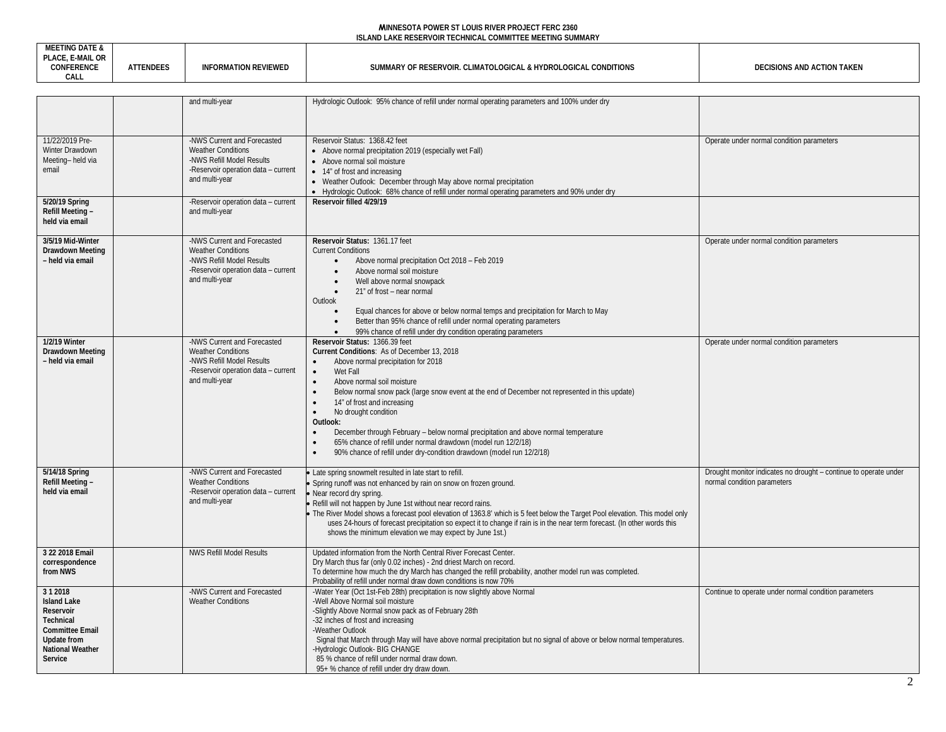| <b>MEETING DATE &amp;</b><br>PLACE, E-MAIL OR |          |                      |                                                                |                            |
|-----------------------------------------------|----------|----------------------|----------------------------------------------------------------|----------------------------|
| CONFERENCE<br>CALL                            | TTENDEES | INFORMATION REVIEWED | SUMMARY OF RESERVOIR. CLIMATOLOGICAL & HYDROLOGICAL CONDITIONS | DECISIONS AND ACTION TAKEN |

|                                                                                                                                                     | and multi-year                                                                                                                                 | Hydrologic Outlook: 95% chance of refill under normal operating parameters and 100% under dry                                                                                                                                                                                                                                                                                                                                                                                                                                                                                                                                                                     |                                                                                                 |
|-----------------------------------------------------------------------------------------------------------------------------------------------------|------------------------------------------------------------------------------------------------------------------------------------------------|-------------------------------------------------------------------------------------------------------------------------------------------------------------------------------------------------------------------------------------------------------------------------------------------------------------------------------------------------------------------------------------------------------------------------------------------------------------------------------------------------------------------------------------------------------------------------------------------------------------------------------------------------------------------|-------------------------------------------------------------------------------------------------|
|                                                                                                                                                     |                                                                                                                                                |                                                                                                                                                                                                                                                                                                                                                                                                                                                                                                                                                                                                                                                                   |                                                                                                 |
| 11/22/2019 Pre-<br>Winter Drawdown<br>Meeting-held via<br>email                                                                                     | -NWS Current and Forecasted<br><b>Weather Conditions</b><br>-NWS Refill Model Results<br>-Reservoir operation data - current<br>and multi-year | Reservoir Status: 1368.42 feet<br>• Above normal precipitation 2019 (especially wet Fall)<br>• Above normal soil moisture<br>• 14" of frost and increasing<br>• Weather Outlook: December through May above normal precipitation<br>• Hydrologic Outlook: 68% chance of refill under normal operating parameters and 90% under dry                                                                                                                                                                                                                                                                                                                                | Operate under normal condition parameters                                                       |
| 5/20/19 Spring<br>Refill Meeting -<br>held via email                                                                                                | -Reservoir operation data - current<br>and multi-year                                                                                          | Reservoir filled 4/29/19                                                                                                                                                                                                                                                                                                                                                                                                                                                                                                                                                                                                                                          |                                                                                                 |
| 3/5/19 Mid-Winter<br>Drawdown Meeting<br>- held via email                                                                                           | -NWS Current and Forecasted<br><b>Weather Conditions</b><br>-NWS Refill Model Results<br>-Reservoir operation data - current<br>and multi-year | Reservoir Status: 1361.17 feet<br><b>Current Conditions</b><br>Above normal precipitation Oct 2018 - Feb 2019<br>$\bullet$<br>Above normal soil moisture<br>$\bullet$<br>Well above normal snowpack<br>$\bullet$<br>21" of frost - near normal<br>$\bullet$<br>Outlook<br>Equal chances for above or below normal temps and precipitation for March to May<br>$\bullet$<br>Better than 95% chance of refill under normal operating parameters<br>$\bullet$<br>99% chance of refill under dry condition operating parameters                                                                                                                                       | Operate under normal condition parameters                                                       |
| 1/2/19 Winter<br>Drawdown Meeting<br>- held via email                                                                                               | -NWS Current and Forecasted<br><b>Weather Conditions</b><br>-NWS Refill Model Results<br>-Reservoir operation data - current<br>and multi-year | Reservoir Status: 1366.39 feet<br>Current Conditions: As of December 13, 2018<br>$\bullet$<br>Above normal precipitation for 2018<br>Wet Fall<br>$\bullet$<br>Above normal soil moisture<br>$\bullet$<br>$\bullet$<br>Below normal snow pack (large snow event at the end of December not represented in this update)<br>14" of frost and increasing<br>No drought condition<br>Outlook:<br>December through February - below normal precipitation and above normal temperature<br>$\bullet$<br>65% chance of refill under normal drawdown (model run 12/2/18)<br>$\bullet$<br>90% chance of refill under dry-condition drawdown (model run 12/2/18)<br>$\bullet$ | Operate under normal condition parameters                                                       |
| 5/14/18 Spring<br>Refill Meeting -<br>held via email                                                                                                | -NWS Current and Forecasted<br><b>Weather Conditions</b><br>-Reservoir operation data - current<br>and multi-year                              | • Late spring snowmelt resulted in late start to refill.<br>• Spring runoff was not enhanced by rain on snow on frozen ground.<br>· Near record dry spring.<br>. Refill will not happen by June 1st without near record rains.<br>The River Model shows a forecast pool elevation of 1363.8' which is 5 feet below the Target Pool elevation. This model only<br>uses 24-hours of forecast precipitation so expect it to change if rain is in the near term forecast. (In other words this<br>shows the minimum elevation we may expect by June 1st.)                                                                                                             | Drought monitor indicates no drought - continue to operate under<br>normal condition parameters |
| 3 22 2018 Email<br>correspondence<br>from NWS                                                                                                       | <b>NWS Refill Model Results</b>                                                                                                                | Updated information from the North Central River Forecast Center.<br>Dry March thus far (only 0.02 inches) - 2nd driest March on record.<br>To determine how much the dry March has changed the refill probability, another model run was completed.<br>Probability of refill under normal draw down conditions is now 70%                                                                                                                                                                                                                                                                                                                                        |                                                                                                 |
| 312018<br><b>Island Lake</b><br>Reservoir<br><b>Technical</b><br><b>Committee Email</b><br><b>Update from</b><br><b>National Weather</b><br>Service | -NWS Current and Forecasted<br><b>Weather Conditions</b>                                                                                       | -Water Year (Oct 1st-Feb 28th) precipitation is now slightly above Normal<br>-Well Above Normal soil moisture<br>-Slightly Above Normal snow pack as of February 28th<br>-32 inches of frost and increasing<br>-Weather Outlook<br>Signal that March through May will have above normal precipitation but no signal of above or below normal temperatures.<br>-Hydrologic Outlook- BIG CHANGE<br>85 % chance of refill under normal draw down.<br>95+ % chance of refill under dry draw down.                                                                                                                                                                     | Continue to operate under normal condition parameters                                           |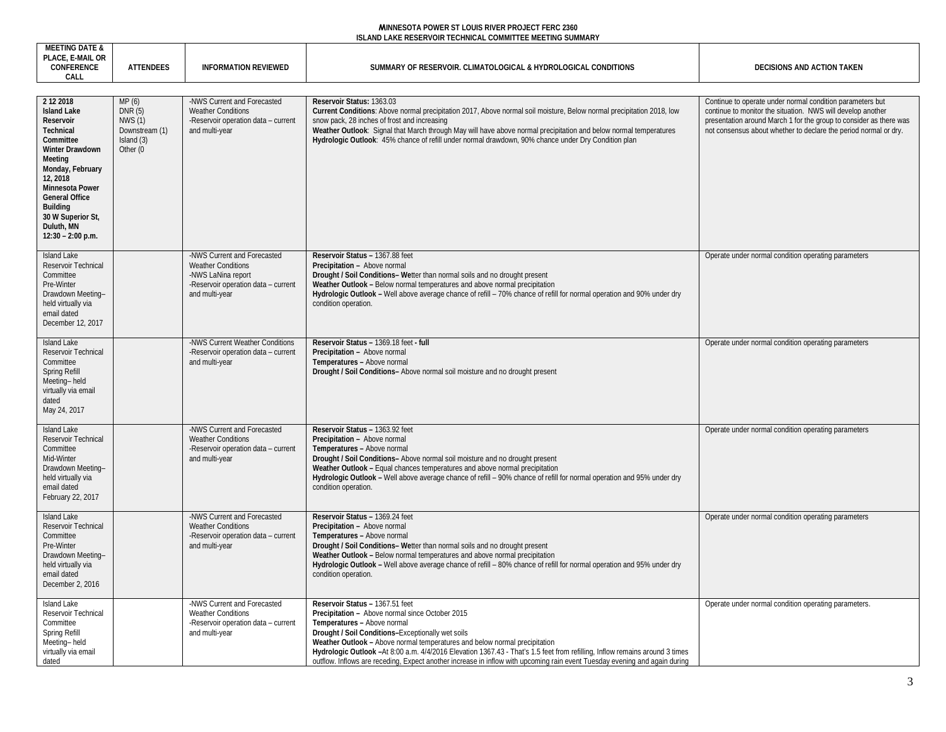| <b>AAP</b>                |                   |        |                                                |  |
|---------------------------|-------------------|--------|------------------------------------------------|--|
| <b>CDEMOT</b><br><b>A</b> | $100 - 1$<br>NULL | VILVVL | <b>CIIM</b><br>10<br>nditions<br><b>HYIJKI</b> |  |
| $\cap$ $\Lambda$          |                   |        |                                                |  |
|                           |                   |        |                                                |  |

| 2 12 2018<br><b>Island Lake</b><br>Reservoir<br><b>Technical</b><br>Committee<br>Winter Drawdown<br>Meeting<br>Monday, February<br>12, 2018<br>Minnesota Power<br><b>General Office</b><br><b>Building</b><br>30 W Superior St,<br>Duluth, MN<br>$12:30 - 2:00$ p.m. | MP(6)<br>DNR(5)<br><b>NWS (1)</b><br>Downstream (1)<br>Island (3)<br>Other (0 | -NWS Current and Forecasted<br><b>Weather Conditions</b><br>-Reservoir operation data - current<br>and multi-year                       | Reservoir Status: 1363.03<br>Current Conditions: Above normal precipitation 2017, Above normal soil moisture, Below normal precipitation 2018, low<br>snow pack, 28 inches of frost and increasing<br>Weather Outlook: Signal that March through May will have above normal precipitation and below normal temperatures<br>Hydrologic Outlook: 45% chance of refill under normal drawdown, 90% chance under Dry Condition plan                                                                                    | Continue to operate under normal condition parameters but<br>continue to monitor the situation. NWS will develop another<br>presentation around March 1 for the group to consider as there was<br>not consensus about whether to declare the period normal or dry. |
|----------------------------------------------------------------------------------------------------------------------------------------------------------------------------------------------------------------------------------------------------------------------|-------------------------------------------------------------------------------|-----------------------------------------------------------------------------------------------------------------------------------------|-------------------------------------------------------------------------------------------------------------------------------------------------------------------------------------------------------------------------------------------------------------------------------------------------------------------------------------------------------------------------------------------------------------------------------------------------------------------------------------------------------------------|--------------------------------------------------------------------------------------------------------------------------------------------------------------------------------------------------------------------------------------------------------------------|
| <b>Island Lake</b><br>Reservoir Technical<br>Committee<br>Pre-Winter<br>Drawdown Meeting-<br>held virtually via<br>email dated<br>December 12, 2017                                                                                                                  |                                                                               | -NWS Current and Forecasted<br><b>Weather Conditions</b><br>-NWS LaNina report<br>-Reservoir operation data - current<br>and multi-year | Reservoir Status - 1367.88 feet<br>Precipitation - Above normal<br>Drought / Soil Conditions- Wetter than normal soils and no drought present<br>Weather Outlook - Below normal temperatures and above normal precipitation<br>Hydrologic Outlook - Well above average chance of refill - 70% chance of refill for normal operation and 90% under dry<br>condition operation.                                                                                                                                     | Operate under normal condition operating parameters                                                                                                                                                                                                                |
| <b>Island Lake</b><br>Reservoir Technical<br>Committee<br>Spring Refill<br>Meeting-held<br>virtually via email<br>dated<br>May 24, 2017                                                                                                                              |                                                                               | -NWS Current Weather Conditions<br>-Reservoir operation data - current<br>and multi-year                                                | Reservoir Status - 1369.18 feet - full<br>Precipitation - Above normal<br>Temperatures - Above normal<br>Drought / Soil Conditions- Above normal soil moisture and no drought present                                                                                                                                                                                                                                                                                                                             | Operate under normal condition operating parameters                                                                                                                                                                                                                |
| <b>Island Lake</b><br>Reservoir Technical<br>Committee<br>Mid-Winter<br>Drawdown Meeting-<br>held virtually via<br>email dated<br>February 22, 2017                                                                                                                  |                                                                               | -NWS Current and Forecasted<br><b>Weather Conditions</b><br>-Reservoir operation data - current<br>and multi-year                       | Reservoir Status - 1363.92 feet<br>Precipitation - Above normal<br>Temperatures - Above normal<br>Drought / Soil Conditions- Above normal soil moisture and no drought present<br>Weather Outlook - Equal chances temperatures and above normal precipitation<br>Hydrologic Outlook - Well above average chance of refill - 90% chance of refill for normal operation and 95% under dry<br>condition operation.                                                                                                   | Operate under normal condition operating parameters                                                                                                                                                                                                                |
| Island Lake<br>Reservoir Technical<br>Committee<br>Pre-Winter<br>Drawdown Meeting-<br>held virtually via<br>email dated<br>December 2, 2016                                                                                                                          |                                                                               | -NWS Current and Forecasted<br><b>Weather Conditions</b><br>-Reservoir operation data - current<br>and multi-year                       | Reservoir Status - 1369.24 feet<br>Precipitation - Above normal<br>Temperatures - Above normal<br>Drought / Soil Conditions- Wetter than normal soils and no drought present<br>Weather Outlook - Below normal temperatures and above normal precipitation<br>Hydrologic Outlook - Well above average chance of refill - 80% chance of refill for normal operation and 95% under dry<br>condition operation.                                                                                                      | Operate under normal condition operating parameters                                                                                                                                                                                                                |
| <b>Island Lake</b><br>Reservoir Technical<br>Committee<br>Spring Refill<br>Meeting-held<br>virtually via email<br>dated                                                                                                                                              |                                                                               | -NWS Current and Forecasted<br><b>Weather Conditions</b><br>-Reservoir operation data - current<br>and multi-year                       | Reservoir Status - 1367.51 feet<br>Precipitation - Above normal since October 2015<br>Temperatures - Above normal<br>Drought / Soil Conditions-Exceptionally wet soils<br>Weather Outlook - Above normal temperatures and below normal precipitation<br>Hydrologic Outlook -At 8:00 a.m. 4/4/2016 Elevation 1367.43 - That's 1.5 feet from refilling, Inflow remains around 3 times<br>outflow. Inflows are receding, Expect another increase in inflow with upcoming rain event Tuesday evening and again during | Operate under normal condition operating parameters.                                                                                                                                                                                                               |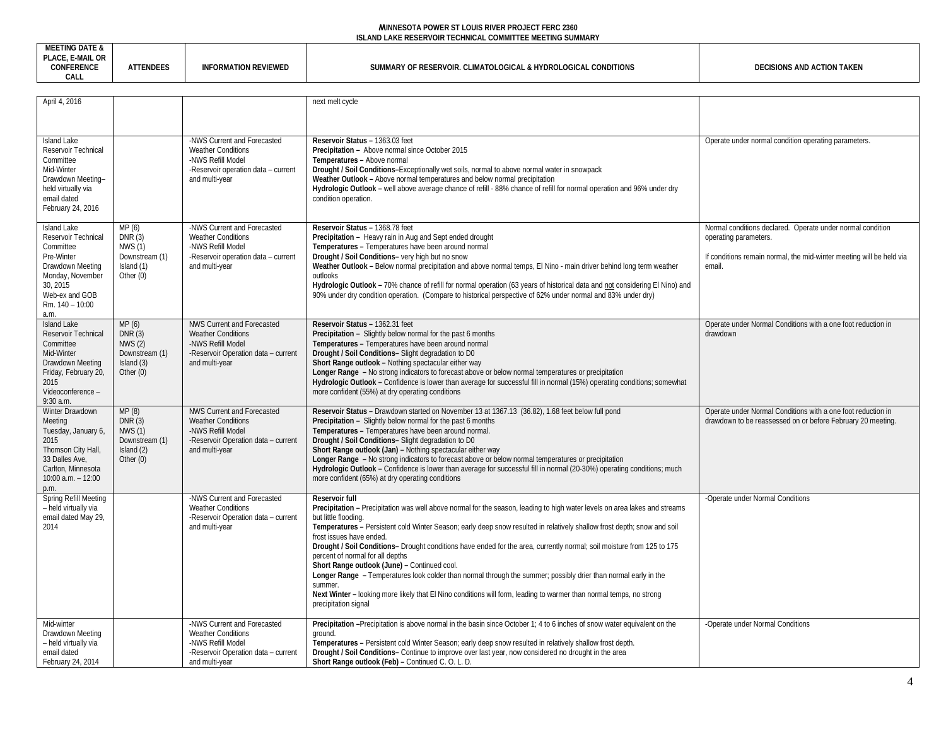| TING DATE &<br>.                    |                                 |                             |                                                                                                  |                                    |
|-------------------------------------|---------------------------------|-----------------------------|--------------------------------------------------------------------------------------------------|------------------------------------|
| . OR<br><b>IVIAIL</b><br>CONFERENCE | cNDEF <sup>®</sup><br><u>лı</u> | <b>INFORMATION REVIEWED</b> | . & HYDRC<br>. CONDITIONS<br>CLIMATOLOGI<br><sup>-</sup> Reservo<br>OGICA<br>`UMN<br>IARY<br>וחי | TAKEN<br>., AND ACTION T<br>ISIONS |
| CAL                                 |                                 |                             |                                                                                                  |                                    |

| April 4, 2016                                                                                                                                                  |                                                                                  |                                                                                                                                              | next melt cycle                                                                                                                                                                                                                                                                                                                                                                                                                                                                                                                                                                                                                                                                                                                                                                                                        |                                                                                                                                                                       |
|----------------------------------------------------------------------------------------------------------------------------------------------------------------|----------------------------------------------------------------------------------|----------------------------------------------------------------------------------------------------------------------------------------------|------------------------------------------------------------------------------------------------------------------------------------------------------------------------------------------------------------------------------------------------------------------------------------------------------------------------------------------------------------------------------------------------------------------------------------------------------------------------------------------------------------------------------------------------------------------------------------------------------------------------------------------------------------------------------------------------------------------------------------------------------------------------------------------------------------------------|-----------------------------------------------------------------------------------------------------------------------------------------------------------------------|
|                                                                                                                                                                |                                                                                  |                                                                                                                                              |                                                                                                                                                                                                                                                                                                                                                                                                                                                                                                                                                                                                                                                                                                                                                                                                                        |                                                                                                                                                                       |
| Island Lake<br>Reservoir Technical<br>Committee<br>Mid-Winter<br>Drawdown Meeting-<br>held virtually via<br>email dated<br>February 24, 2016                   |                                                                                  | -NWS Current and Forecasted<br><b>Weather Conditions</b><br>-NWS Refill Model<br>-Reservoir operation data - current<br>and multi-year       | Reservoir Status - 1363.03 feet<br>Precipitation - Above normal since October 2015<br>Temperatures - Above normal<br>Drought / Soil Conditions-Exceptionally wet soils, normal to above normal water in snowpack<br>Weather Outlook - Above normal temperatures and below normal precipitation<br>Hydrologic Outlook - well above average chance of refill - 88% chance of refill for normal operation and 96% under dry<br>condition operation.                                                                                                                                                                                                                                                                                                                                                                       | Operate under normal condition operating parameters.                                                                                                                  |
| Island Lake<br>Reservoir Technical<br>Committee<br>Pre-Winter<br>Drawdown Meeting<br>Monday, November<br>30, 2015<br>Web-ex and GOB<br>Rm. 140 - 10:00<br>a.m. | MP(6)<br>DNR(3)<br><b>NWS (1)</b><br>Downstream (1)<br>Island (1)<br>Other $(0)$ | -NWS Current and Forecasted<br><b>Weather Conditions</b><br>-NWS Refill Model<br>-Reservoir operation data - current<br>and multi-year       | Reservoir Status - 1368.78 feet<br>Precipitation - Heavy rain in Aug and Sept ended drought<br>Temperatures - Temperatures have been around normal<br>Drought / Soil Conditions- very high but no snow<br>Weather Outlook - Below normal precipitation and above normal temps, El Nino - main driver behind long term weather<br>outlooks<br>Hydrologic Outlook - 70% chance of refill for normal operation (63 years of historical data and not considering El Nino) and<br>90% under dry condition operation. (Compare to historical perspective of 62% under normal and 83% under dry)                                                                                                                                                                                                                              | Normal conditions declared. Operate under normal condition<br>operating parameters.<br>If conditions remain normal, the mid-winter meeting will be held via<br>email. |
| Island Lake<br>Reservoir Technical<br>Committee<br>Mid-Winter<br>Drawdown Meeting<br>Friday, February 20,<br>2015<br>Videoconference -<br>9:30 a.m.            | MP(6)<br>DNR(3)<br>NWS(2)<br>Downstream (1)<br>Island (3)<br>Other $(0)$         | <b>NWS Current and Forecasted</b><br><b>Weather Conditions</b><br>-NWS Refill Model<br>-Reservoir Operation data - current<br>and multi-year | Reservoir Status - 1362.31 feet<br>Precipitation - Slightly below normal for the past 6 months<br>Temperatures - Temperatures have been around normal<br>Drought / Soil Conditions- Slight degradation to D0<br>Short Range outlook - Nothing spectacular either way<br>Longer Range - No strong indicators to forecast above or below normal temperatures or precipitation<br>Hydrologic Outlook - Confidence is lower than average for successful fill in normal (15%) operating conditions; somewhat<br>more confident (55%) at dry operating conditions                                                                                                                                                                                                                                                            | Operate under Normal Conditions with a one foot reduction in<br>drawdown                                                                                              |
| Winter Drawdown<br>Meeting<br>Tuesday, January 6,<br>2015<br>Thomson City Hall,<br>33 Dalles Ave,<br>Carlton, Minnesota<br>10:00 a.m. - 12:00<br>p.m.          | MP(8)<br>DNR(3)<br><b>NWS (1)</b><br>Downstream (1)<br>Island (2)<br>Other $(0)$ | <b>NWS Current and Forecasted</b><br><b>Weather Conditions</b><br>-NWS Refill Model<br>-Reservoir Operation data - current<br>and multi-year | Reservoir Status - Drawdown started on November 13 at 1367.13 (36.82), 1.68 feet below full pond<br>Precipitation - Slightly below normal for the past 6 months<br>Temperatures - Temperatures have been around normal.<br>Drought / Soil Conditions- Slight degradation to D0<br>Short Range outlook (Jan) - Nothing spectacular either way<br>Longer Range - No strong indicators to forecast above or below normal temperatures or precipitation<br>Hydrologic Outlook - Confidence is lower than average for successful fill in normal (20-30%) operating conditions; much<br>more confident (65%) at dry operating conditions                                                                                                                                                                                     | Operate under Normal Conditions with a one foot reduction in<br>drawdown to be reassessed on or before February 20 meeting.                                           |
| Spring Refill Meeting<br>- held virtually via<br>email dated May 29,<br>2014                                                                                   |                                                                                  | -NWS Current and Forecasted<br><b>Weather Conditions</b><br>-Reservoir Operation data - current<br>and multi-year                            | Reservoir full<br>Precipitation - Precipitation was well above normal for the season, leading to high water levels on area lakes and streams<br>but little flooding.<br>Temperatures - Persistent cold Winter Season; early deep snow resulted in relatively shallow frost depth; snow and soil<br>frost issues have ended.<br>Drought / Soil Conditions- Drought conditions have ended for the area, currently normal; soil moisture from 125 to 175<br>percent of normal for all depths<br>Short Range outlook (June) - Continued cool.<br>Longer Range - Temperatures look colder than normal through the summer; possibly drier than normal early in the<br>summer.<br>Next Winter – looking more likely that El Nino conditions will form, leading to warmer than normal temps, no strong<br>precipitation signal | -Operate under Normal Conditions                                                                                                                                      |
| Mid-winter<br>Drawdown Meeting<br>- held virtually via<br>email dated<br>February 24, 2014                                                                     |                                                                                  | -NWS Current and Forecasted<br><b>Weather Conditions</b><br>-NWS Refill Model<br>-Reservoir Operation data - current<br>and multi-year       | Precipitation -Precipitation is above normal in the basin since October 1; 4 to 6 inches of snow water equivalent on the<br>around.<br>Temperatures - Persistent cold Winter Season; early deep snow resulted in relatively shallow frost depth.<br>Drought / Soil Conditions- Continue to improve over last year, now considered no drought in the area<br>Short Range outlook (Feb) - Continued C. O. L. D.                                                                                                                                                                                                                                                                                                                                                                                                          | -Operate under Normal Conditions                                                                                                                                      |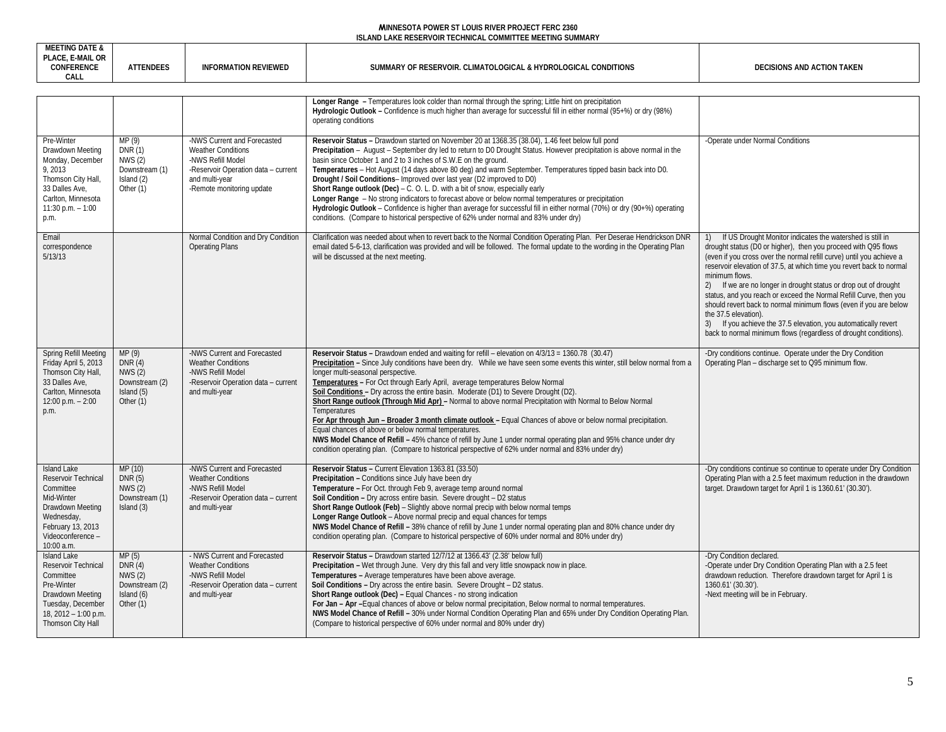| <b>MEETING DATE &amp;</b><br>PLACE, E-MAIL OR<br>CONFERENCE<br>CALL                                                                                            | <b>ATTENDEES</b>                                                                 | <b>INFORMATION REVIEWED</b>                                                                                                                                         | SUMMARY OF RESERVOIR. CLIMATOLOGICAL & HYDROLOGICAL CONDITIONS                                                                                                                                                                                                                                                                                                                                                                                                                                                                                                                                                                                                                                                                                                                                                                                                                                                                                                                | DECISIONS AND ACTION TAKEN                                                                                                                                                                                                                                                                                                                                                                                                                                                                                                                                                                                                                                               |
|----------------------------------------------------------------------------------------------------------------------------------------------------------------|----------------------------------------------------------------------------------|---------------------------------------------------------------------------------------------------------------------------------------------------------------------|-------------------------------------------------------------------------------------------------------------------------------------------------------------------------------------------------------------------------------------------------------------------------------------------------------------------------------------------------------------------------------------------------------------------------------------------------------------------------------------------------------------------------------------------------------------------------------------------------------------------------------------------------------------------------------------------------------------------------------------------------------------------------------------------------------------------------------------------------------------------------------------------------------------------------------------------------------------------------------|--------------------------------------------------------------------------------------------------------------------------------------------------------------------------------------------------------------------------------------------------------------------------------------------------------------------------------------------------------------------------------------------------------------------------------------------------------------------------------------------------------------------------------------------------------------------------------------------------------------------------------------------------------------------------|
|                                                                                                                                                                |                                                                                  |                                                                                                                                                                     |                                                                                                                                                                                                                                                                                                                                                                                                                                                                                                                                                                                                                                                                                                                                                                                                                                                                                                                                                                               |                                                                                                                                                                                                                                                                                                                                                                                                                                                                                                                                                                                                                                                                          |
|                                                                                                                                                                |                                                                                  |                                                                                                                                                                     | Longer Range - Temperatures look colder than normal through the spring; Little hint on precipitation<br>Hydrologic Outlook – Confidence is much higher than average for successful fill in either normal (95+%) or dry (98%)<br>operating conditions                                                                                                                                                                                                                                                                                                                                                                                                                                                                                                                                                                                                                                                                                                                          |                                                                                                                                                                                                                                                                                                                                                                                                                                                                                                                                                                                                                                                                          |
| Pre-Winter<br>Drawdown Meeting<br>Monday, December<br>9, 2013<br>Thomson City Hall,<br>33 Dalles Ave,<br>Carlton, Minnesota<br>$11:30$ p.m. $-1:00$<br>p.m.    | MP (9)<br>DNR (1)<br><b>NWS (2)</b><br>Downstream (1)<br>Island (2)<br>Other (1) | -NWS Current and Forecasted<br><b>Weather Conditions</b><br>-NWS Refill Model<br>-Reservoir Operation data - current<br>and multi-year<br>-Remote monitoring update | Reservoir Status - Drawdown started on November 20 at 1368.35 (38.04), 1.46 feet below full pond<br>Precipitation – August – September dry led to return to D0 Drought Status. However precipitation is above normal in the<br>basin since October 1 and 2 to 3 inches of S.W.E on the ground.<br>Temperatures - Hot August (14 days above 80 deg) and warm September. Temperatures tipped basin back into D0.<br>Drought / Soil Conditions- Improved over last year (D2 improved to D0)<br>Short Range outlook (Dec) - C. O. L. D. with a bit of snow, especially early<br>Longer Range - No strong indicators to forecast above or below normal temperatures or precipitation<br>Hydrologic Outlook - Confidence is higher than average for successful fill in either normal (70%) or dry (90+%) operating<br>conditions. (Compare to historical perspective of 62% under normal and 83% under dry)                                                                         | -Operate under Normal Conditions                                                                                                                                                                                                                                                                                                                                                                                                                                                                                                                                                                                                                                         |
| Email<br>correspondence<br>5/13/13                                                                                                                             |                                                                                  | Normal Condition and Dry Condition<br><b>Operating Plans</b>                                                                                                        | Clarification was needed about when to revert back to the Normal Condition Operating Plan. Per Deserae Hendrickson DNR<br>email dated 5-6-13, clarification was provided and will be followed. The formal update to the wording in the Operating Plan<br>will be discussed at the next meeting.                                                                                                                                                                                                                                                                                                                                                                                                                                                                                                                                                                                                                                                                               | If US Drought Monitor indicates the watershed is still in<br>drought status (D0 or higher), then you proceed with Q95 flows<br>(even if you cross over the normal refill curve) until you achieve a<br>reservoir elevation of 37.5, at which time you revert back to normal<br>minimum flows.<br>2) If we are no longer in drought status or drop out of drought<br>status, and you reach or exceed the Normal Refill Curve, then you<br>should revert back to normal minimum flows (even if you are below<br>the 37.5 elevation).<br>3) If you achieve the 37.5 elevation, you automatically revert<br>back to normal minimum flows (regardless of drought conditions). |
| Spring Refill Meeting<br>Friday April 5, 2013<br>Thomson City Hall<br>33 Dalles Ave,<br>Carlton, Minnesota<br>12:00 p.m. $- 2:00$<br>p.m.                      | MP (9)<br>DNR(4)<br><b>NWS (2)</b><br>Downstream (2)<br>Island (5)<br>Other (1)  | -NWS Current and Forecasted<br><b>Weather Conditions</b><br>-NWS Refill Model<br>-Reservoir Operation data - current<br>and multi-year                              | Reservoir Status - Drawdown ended and waiting for refill - elevation on 4/3/13 = 1360.78 (30.47)<br>Precipitation – Since July conditions have been dry. While we have seen some events this winter, still below normal from a<br>longer multi-seasonal perspective.<br>Temperatures - For Oct through Early April, average temperatures Below Normal<br>Soil Conditions - Dry across the entire basin. Moderate (D1) to Severe Drought (D2).<br>Short Range outlook (Through Mid Apr) - Normal to above normal Precipitation with Normal to Below Normal<br>Temperatures<br>For Apr through Jun – Broader 3 month climate outlook – Equal Chances of above or below normal precipitation.<br>Equal chances of above or below normal temperatures.<br>NWS Model Chance of Refill - 45% chance of refill by June 1 under normal operating plan and 95% chance under dry<br>condition operating plan. (Compare to historical perspective of 62% under normal and 83% under dry) | -Dry conditions continue. Operate under the Dry Condition<br>Operating Plan - discharge set to Q95 minimum flow.                                                                                                                                                                                                                                                                                                                                                                                                                                                                                                                                                         |
| <b>Island Lake</b><br>Reservoir Technical<br>Committee<br>Mid-Winter<br>Drawdown Meeting<br>Wednesday,<br>February 13, 2013<br>Videoconference -<br>10:00 a.m. | MP (10)<br>DNR (5)<br>NWS(2)<br>Downstream (1)<br>Island (3)                     | -NWS Current and Forecasted<br><b>Weather Conditions</b><br>-NWS Refill Model<br>-Reservoir Operation data - current<br>and multi-year                              | Reservoir Status - Current Elevation 1363.81 (33.50)<br>Precipitation - Conditions since July have been dry<br>Temperature - For Oct. through Feb 9, average temp around normal<br>Soil Condition - Dry across entire basin. Severe drought - D2 status<br>Short Range Outlook (Feb) - Slightly above normal precip with below normal temps<br>Longer Range Outlook - Above normal precip and equal chances for temps<br>NWS Model Chance of Refill - 38% chance of refill by June 1 under normal operating plan and 80% chance under dry<br>condition operating plan. (Compare to historical perspective of 60% under normal and 80% under dry)                                                                                                                                                                                                                                                                                                                              | -Dry conditions continue so continue to operate under Dry Condition<br>Operating Plan with a 2.5 feet maximum reduction in the drawdown<br>target. Drawdown target for April 1 is 1360.61' (30.30').                                                                                                                                                                                                                                                                                                                                                                                                                                                                     |
| <b>Island Lake</b><br>Reservoir Technical<br>Committee<br>Pre-Winter<br>Drawdown Meeting<br>Tuesday, December                                                  | MP(5)<br>DNR(4)<br><b>NWS (2)</b><br>Downstream (2)<br>Island (6)<br>Other (1)   | - NWS Current and Forecasted<br><b>Weather Conditions</b><br>-NWS Refill Model<br>-Reservoir Operation data - current<br>and multi-year                             | Reservoir Status - Drawdown started 12/7/12 at 1366.43' (2.38' below full)<br>Precipitation - Wet through June. Very dry this fall and very little snowpack now in place.<br>Temperatures - Average temperatures have been above average.<br>Soil Conditions - Dry across the entire basin. Severe Drought - D2 status.<br>Short Range outlook (Dec) - Equal Chances - no strong indication<br>For Jan - Apr - Equal chances of above or below normal precipitation, Below normal to normal temperatures.                                                                                                                                                                                                                                                                                                                                                                                                                                                                     | -Dry Condition declared.<br>-Operate under Dry Condition Operating Plan with a 2.5 feet<br>drawdown reduction. Therefore drawdown target for April 1 is<br>1360.61' (30.30').<br>-Next meeting will be in February.                                                                                                                                                                                                                                                                                                                                                                                                                                                      |

**NWS Model Chance of Refill –** 30% under Normal Condition Operating Plan and 65% under Dry Condition Operating Plan.

(Compare to historical perspective of 60% under normal and 80% under dry)

18, 2012 – 1:00 p.m. Thomson City Hall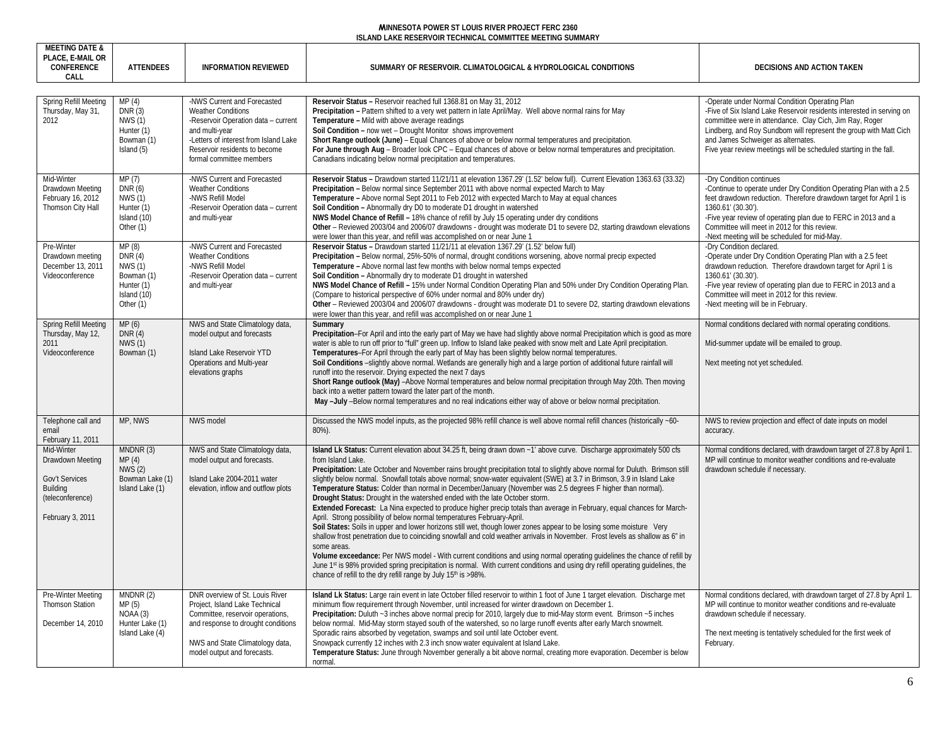| <b>MEETING DATE &amp;</b><br>PLACE, E-MAIL OR<br><b>CONFERENCE</b><br>CALL                           | <b>ATTENDEES</b>                                                                           | <b>INFORMATION REVIEWED</b>                                                                                                                                                                                             | SUMMARY OF RESERVOIR. CLIMATOLOGICAL & HYDROLOGICAL CONDITIONS                                                                                                                                                                                                                                                                                                                                                                                                                                                                                                                                                                                                                                                                                                                                                                                                                                                                                                                                                                                                                                                                                                                                                                                                                                                                                                                                                            | DECISIONS AND ACTION TAKEN                                                                                                                                                                                                                                                                                                                                         |
|------------------------------------------------------------------------------------------------------|--------------------------------------------------------------------------------------------|-------------------------------------------------------------------------------------------------------------------------------------------------------------------------------------------------------------------------|---------------------------------------------------------------------------------------------------------------------------------------------------------------------------------------------------------------------------------------------------------------------------------------------------------------------------------------------------------------------------------------------------------------------------------------------------------------------------------------------------------------------------------------------------------------------------------------------------------------------------------------------------------------------------------------------------------------------------------------------------------------------------------------------------------------------------------------------------------------------------------------------------------------------------------------------------------------------------------------------------------------------------------------------------------------------------------------------------------------------------------------------------------------------------------------------------------------------------------------------------------------------------------------------------------------------------------------------------------------------------------------------------------------------------|--------------------------------------------------------------------------------------------------------------------------------------------------------------------------------------------------------------------------------------------------------------------------------------------------------------------------------------------------------------------|
| Spring Refill Meeting<br>Thursday, May 31,<br>2012                                                   | MP(4)<br>DNR(3)<br><b>NWS (1)</b><br>Hunter (1)<br>Bowman (1)<br>Island (5)                | -NWS Current and Forecasted<br><b>Weather Conditions</b><br>-Reservoir Operation data - current<br>and multi-year<br>-Letters of interest from Island Lake<br>Reservoir residents to become<br>formal committee members | Reservoir Status - Reservoir reached full 1368.81 on May 31, 2012<br>Precipitation - Pattern shifted to a very wet pattern in late April/May. Well above normal rains for May<br>Temperature - Mild with above average readings<br>Soil Condition - now wet - Drought Monitor shows improvement<br>Short Range outlook (June) – Equal Chances of above or below normal temperatures and precipitation.<br>For June through Aug - Broader look CPC - Equal chances of above or below normal temperatures and precipitation.<br>Canadians indicating below normal precipitation and temperatures.                                                                                                                                                                                                                                                                                                                                                                                                                                                                                                                                                                                                                                                                                                                                                                                                                           | -Operate under Normal Condition Operating Plan<br>-Five of Six Island Lake Reservoir residents interested in serving on<br>committee were in attendance. Clay Cich, Jim Ray, Roger<br>Lindberg, and Roy Sundbom will represent the group with Matt Cich<br>and James Schweiger as alternates.<br>Five year review meetings will be scheduled starting in the fall. |
| Mid-Winter<br>Drawdown Meeting<br>February 16, 2012<br>Thomson City Hall                             | MP (7)<br>DNR (6)<br><b>NWS (1)</b><br>Hunter (1)<br>Island (10)<br>Other (1)              | -NWS Current and Forecasted<br><b>Weather Conditions</b><br>-NWS Refill Model<br>-Reservoir Operation data - current<br>and multi-year                                                                                  | Reservoir Status - Drawdown started 11/21/11 at elevation 1367.29' (1.52' below full). Current Elevation 1363.63 (33.32)<br>Precipitation - Below normal since September 2011 with above normal expected March to May<br>Temperature – Above normal Sept 2011 to Feb 2012 with expected March to May at equal chances<br>Soil Condition - Abnormally dry D0 to moderate D1 drought in watershed<br>NWS Model Chance of Refill - 18% chance of refill by July 15 operating under dry conditions<br>Other - Reviewed 2003/04 and 2006/07 drawdowns - drought was moderate D1 to severe D2, starting drawdown elevations<br>were lower than this year, and refill was accomplished on or near June 1                                                                                                                                                                                                                                                                                                                                                                                                                                                                                                                                                                                                                                                                                                                         | -Dry Condition continues<br>-Continue to operate under Dry Condition Operating Plan with a 2.5<br>feet drawdown reduction. Therefore drawdown target for April 1 is<br>1360.61' (30.30').<br>-Five year review of operating plan due to FERC in 2013 and a<br>Committee will meet in 2012 for this review.<br>-Next meeting will be scheduled for mid-May.         |
| Pre-Winter<br>Drawdown meeting<br>December 13, 2011<br>Videoconference                               | MP (8)<br>DNR(4)<br><b>NWS (1)</b><br>Bowman (1)<br>Hunter (1)<br>Island (10)<br>Other (1) | -NWS Current and Forecasted<br><b>Weather Conditions</b><br>-NWS Refill Model<br>-Reservoir Operation data - current<br>and multi-year                                                                                  | Reservoir Status - Drawdown started 11/21/11 at elevation 1367.29' (1.52' below full)<br>Precipitation - Below normal, 25%-50% of normal, drought conditions worsening, above normal precip expected<br>Temperature - Above normal last few months with below normal temps expected<br>Soil Condition - Abnormally dry to moderate D1 drought in watershed<br>NWS Model Chance of Refill - 15% under Normal Condition Operating Plan and 50% under Dry Condition Operating Plan.<br>(Compare to historical perspective of 60% under normal and 80% under dry)<br>Other - Reviewed 2003/04 and 2006/07 drawdowns - drought was moderate D1 to severe D2, starting drawdown elevations<br>were lower than this year, and refill was accomplished on or near June 1                                                                                                                                                                                                                                                                                                                                                                                                                                                                                                                                                                                                                                                          | -Dry Condition declared.<br>-Operate under Dry Condition Operating Plan with a 2.5 feet<br>drawdown reduction. Therefore drawdown target for April 1 is<br>1360.61' (30.30').<br>-Five year review of operating plan due to FERC in 2013 and a<br>Committee will meet in 2012 for this review.<br>-Next meeting will be in February.                               |
| Spring Refill Meeting<br>Thursday, May 12,<br>2011<br>Videoconference                                | MP(6)<br>DNR(4)<br>NWS (1)<br>Bowman (1)                                                   | NWS and State Climatology data,<br>model output and forecasts<br>Island Lake Reservoir YTD<br>Operations and Multi-year<br>elevations graphs                                                                            | Summary<br>Precipitation–For April and into the early part of May we have had slightly above normal Precipitation which is good as more<br>water is able to run off prior to "full" green up. Inflow to Island lake peaked with snow melt and Late April precipitation.<br>Temperatures-For April through the early part of May has been slightly below normal temperatures.<br>Soil Conditions -slightly above normal. Wetlands are generally high and a large portion of additional future rainfall will<br>runoff into the reservoir. Drying expected the next 7 days<br>Short Range outlook (May) -Above Normal temperatures and below normal precipitation through May 20th. Then moving<br>back into a wetter pattern toward the later part of the month.<br>May -July -Below normal temperatures and no real indications either way of above or below normal precipitation.                                                                                                                                                                                                                                                                                                                                                                                                                                                                                                                                        | Normal conditions declared with normal operating conditions.<br>Mid-summer update will be emailed to group.<br>Next meeting not yet scheduled.                                                                                                                                                                                                                     |
| Telephone call and<br>email<br>February 11, 2011                                                     | MP, NWS                                                                                    | NWS model                                                                                                                                                                                                               | Discussed the NWS model inputs, as the projected 98% refill chance is well above normal refill chances (historically ~60-<br>80%).                                                                                                                                                                                                                                                                                                                                                                                                                                                                                                                                                                                                                                                                                                                                                                                                                                                                                                                                                                                                                                                                                                                                                                                                                                                                                        | NWS to review projection and effect of date inputs on model<br>accuracy.                                                                                                                                                                                                                                                                                           |
| Mid-Winter<br>Drawdown Meeting<br>Gov't Services<br>Building<br>(teleconference)<br>February 3, 2011 | MNDNR (3)<br>MP(4)<br>NWS(2)<br>Bowman Lake (1)<br>Island Lake (1)                         | NWS and State Climatology data,<br>model output and forecasts.<br>Island Lake 2004-2011 water<br>elevation, inflow and outflow plots                                                                                    | Island Lk Status: Current elevation about 34.25 ft, being drawn down ~1' above curve. Discharge approximately 500 cfs<br>from Island Lake.<br>Precipitation: Late October and November rains brought precipitation total to slightly above normal for Duluth. Brimson stil<br>slightly below normal. Snowfall totals above normal; snow-water equivalent (SWE) at 3.7 in Brimson, 3.9 in Island Lake<br>Temperature Status: Colder than normal in December/January (November was 2.5 degrees F higher than normal).<br>Drought Status: Drought in the watershed ended with the late October storm.<br>Extended Forecast: La Nina expected to produce higher precip totals than average in February, equal chances for March-<br>April. Strong possibility of below normal temperatures February-April.<br>Soil States: Soils in upper and lower horizons still wet, though lower zones appear to be losing some moisture Very<br>shallow frost penetration due to coinciding snowfall and cold weather arrivals in November. Frost levels as shallow as 6" in<br>some areas.<br>Volume exceedance: Per NWS model - With current conditions and using normal operating quidelines the chance of refill by<br>June 1 <sup>st</sup> is 98% provided spring precipitation is normal. With current conditions and using dry refill operating quidelines, the<br>chance of refill to the dry refill range by July 15th is >98%. | Normal conditions declared, with drawdown target of 27.8 by April 1.<br>MP will continue to monitor weather conditions and re-evaluate<br>drawdown schedule if necessary.                                                                                                                                                                                          |
| Pre-Winter Meeting<br><b>Thomson Station</b><br>December 14, 2010                                    | MNDNR (2)<br>MP(5)<br>NOAA (3)<br>Hunter Lake (1)<br>Island Lake (4)                       | DNR overview of St. Louis River<br>Project, Island Lake Technical<br>Committee, reservoir operations,<br>and response to drought conditions<br>NWS and State Climatology data,<br>model output and forecasts.           | Island Lk Status: Large rain event in late October filled reservoir to within 1 foot of June 1 target elevation. Discharge met<br>minimum flow requirement through November, until increased for winter drawdown on December 1.<br>Precipitation: Duluth ~3 inches above normal precip for 2010, largely due to mid-May storm event. Brimson ~5 inches<br>below normal. Mid-May storm stayed south of the watershed, so no large runoff events after early March snowmelt.<br>Sporadic rains absorbed by vegetation, swamps and soil until late October event.<br>Snowpack currently 12 inches with 2.3 inch snow water equivalent at Island Lake.<br>Temperature Status: June through November generally a bit above normal, creating more evaporation. December is below<br>normal.                                                                                                                                                                                                                                                                                                                                                                                                                                                                                                                                                                                                                                     | Normal conditions declared, with drawdown target of 27.8 by April 1.<br>MP will continue to monitor weather conditions and re-evaluate<br>drawdown schedule if necessary.<br>The next meeting is tentatively scheduled for the first week of<br>February.                                                                                                          |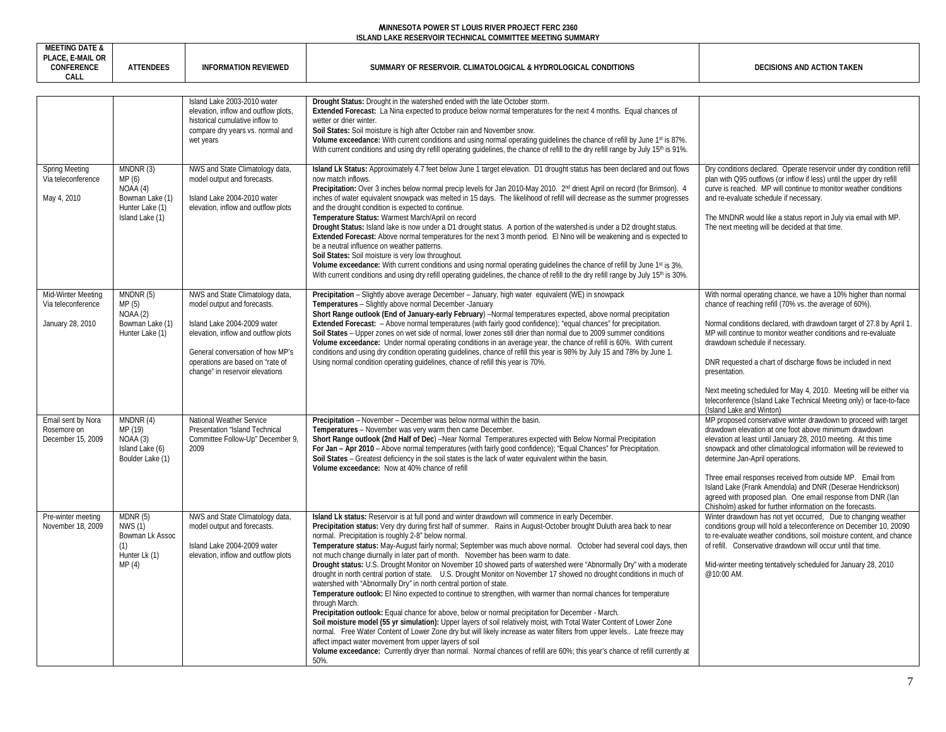| <b>MEETING DATE &amp;</b><br>PLACE, E-MAIL OR<br>CONFERENCE<br>CALL | <b>ATTENDEES</b>                                                                       | <b>INFORMATION REVIEWED</b>                                                                                                                                                                                                                     | SUMMARY OF RESERVOIR. CLIMATOLOGICAL & HYDROLOGICAL CONDITIONS                                                                                                                                                                                                                                                                                                                                                                                                                                                                                                                                                                                                                                                                                                                                                                                                                                                                                                                                                                                                                                                                                                                                                                                                                                                                                                                                                                                                                                                     | DECISIONS AND ACTION TAKEN                                                                                                                                                                                                                                                                                                                                                                                                                                                                                                                                      |
|---------------------------------------------------------------------|----------------------------------------------------------------------------------------|-------------------------------------------------------------------------------------------------------------------------------------------------------------------------------------------------------------------------------------------------|--------------------------------------------------------------------------------------------------------------------------------------------------------------------------------------------------------------------------------------------------------------------------------------------------------------------------------------------------------------------------------------------------------------------------------------------------------------------------------------------------------------------------------------------------------------------------------------------------------------------------------------------------------------------------------------------------------------------------------------------------------------------------------------------------------------------------------------------------------------------------------------------------------------------------------------------------------------------------------------------------------------------------------------------------------------------------------------------------------------------------------------------------------------------------------------------------------------------------------------------------------------------------------------------------------------------------------------------------------------------------------------------------------------------------------------------------------------------------------------------------------------------|-----------------------------------------------------------------------------------------------------------------------------------------------------------------------------------------------------------------------------------------------------------------------------------------------------------------------------------------------------------------------------------------------------------------------------------------------------------------------------------------------------------------------------------------------------------------|
|                                                                     |                                                                                        |                                                                                                                                                                                                                                                 |                                                                                                                                                                                                                                                                                                                                                                                                                                                                                                                                                                                                                                                                                                                                                                                                                                                                                                                                                                                                                                                                                                                                                                                                                                                                                                                                                                                                                                                                                                                    |                                                                                                                                                                                                                                                                                                                                                                                                                                                                                                                                                                 |
|                                                                     |                                                                                        | Island Lake 2003-2010 water<br>elevation, inflow and outflow plots,<br>historical cumulative inflow to<br>compare dry years vs. normal and<br>wet years                                                                                         | Drought Status: Drought in the watershed ended with the late October storm.<br>Extended Forecast: La Nina expected to produce below normal temperatures for the next 4 months. Equal chances of<br>wetter or drier winter.<br>Soil States: Soil moisture is high after October rain and November snow.<br>Volume exceedance: With current conditions and using normal operating quidelines the chance of refill by June 1st is 87%.<br>With current conditions and using dry refill operating quidelines, the chance of refill to the dry refill range by July 15 <sup>th</sup> is 91%.                                                                                                                                                                                                                                                                                                                                                                                                                                                                                                                                                                                                                                                                                                                                                                                                                                                                                                                            |                                                                                                                                                                                                                                                                                                                                                                                                                                                                                                                                                                 |
| <b>Spring Meeting</b><br>Via teleconference<br>May 4, 2010          | MNDNR (3)<br>MP(6)<br>NOAA(4)<br>Bowman Lake (1)<br>Hunter Lake (1)<br>Island Lake (1) | NWS and State Climatology data,<br>model output and forecasts.<br>Island Lake 2004-2010 water<br>elevation, inflow and outflow plots                                                                                                            | Island Lk Status: Approximately 4.7 feet below June 1 target elevation. D1 drought status has been declared and out flows<br>now match inflows.<br>Precipitation: Over 3 inches below normal precip levels for Jan 2010-May 2010. 2nd driest April on record (for Brimson). 4<br>inches of water equivalent snowpack was melted in 15 days. The likelihood of refill will decrease as the summer progresses<br>and the drought condition is expected to continue.<br>Temperature Status: Warmest March/April on record<br>Drought Status: Island lake is now under a D1 drought status. A portion of the watershed is under a D2 drought status.<br>Extended Forecast: Above normal temperatures for the next 3 month period. El Nino will be weakening and is expected to<br>be a neutral influence on weather patterns.<br>Soil States: Soil moisture is very low throughout.<br>Volume exceedance: With current conditions and using normal operating quidelines the chance of refill by June 1 <sup>st</sup> is 3%.<br>With current conditions and using dry refill operating quidelines, the chance of refill to the dry refill range by July 15 <sup>th</sup> is 30%.                                                                                                                                                                                                                                                                                                                                        | Dry conditions declared. Operate reservoir under dry condition refill<br>plan with Q95 outflows (or inflow if less) until the upper dry refill<br>curve is reached. MP will continue to monitor weather conditions<br>and re-evaluate schedule if necessary.<br>The MNDNR would like a status report in July via email with MP.<br>The next meeting will be decided at that time.                                                                                                                                                                               |
| Mid-Winter Meeting<br>Via teleconference<br>January 28, 2010        | MNDNR (5)<br>MP(5)<br>NOAA(2)<br>Bowman Lake (1)<br>Hunter Lake (1)                    | NWS and State Climatology data,<br>model output and forecasts.<br>Island Lake 2004-2009 water<br>elevation, inflow and outflow plots<br>General conversation of how MP's<br>operations are based on "rate of<br>change" in reservoir elevations | Precipitation - Slightly above average December - January, high water equivalent (WE) in snowpack<br>Temperatures - Slightly above normal December - January<br>Short Range outlook (End of January-early February) -Normal temperatures expected, above normal precipitation<br>Extended Forecast: - Above normal temperatures (with fairly good confidence); "equal chances" for precipitation.<br>Soil States - Upper zones on wet side of normal, lower zones still drier than normal due to 2009 summer conditions<br>Volume exceedance: Under normal operating conditions in an average year, the chance of refill is 60%. With current<br>conditions and using dry condition operating quidelines, chance of refill this year is 98% by July 15 and 78% by June 1.<br>Using normal condition operating quidelines, chance of refill this year is 70%.                                                                                                                                                                                                                                                                                                                                                                                                                                                                                                                                                                                                                                                       | With normal operating chance, we have a 10% higher than normal<br>chance of reaching refill (70% vs. the average of 60%)<br>Normal conditions declared, with drawdown target of 27.8 by April 1.<br>MP will continue to monitor weather conditions and re-evaluate<br>drawdown schedule if necessary.<br>DNR requested a chart of discharge flows be included in next<br>presentation.<br>Next meeting scheduled for May 4, 2010. Meeting will be either via<br>teleconference (Island Lake Technical Meeting only) or face-to-face<br>(Island Lake and Winton) |
| Email sent by Nora<br>Rosemore on<br>December 15, 2009              | MNDNR (4)<br>MP (19)<br>NOAA(3)<br>Island Lake (6)<br>Boulder Lake (1)                 | National Weather Service<br>Presentation "Island Technical<br>Committee Follow-Up" December 9,<br>2009                                                                                                                                          | Precipitation - November - December was below normal within the basin.<br>Temperatures - November was very warm then came December.<br>Short Range outlook (2nd Half of Dec) -Near Normal Temperatures expected with Below Normal Precipitation<br>For Jan - Apr 2010 - Above normal temperatures (with fairly good confidence); "Equal Chances" for Precipitation.<br>Soil States - Greatest deficiency in the soil states is the lack of water equivalent within the basin.<br>Volume exceedance: Now at 40% chance of refill                                                                                                                                                                                                                                                                                                                                                                                                                                                                                                                                                                                                                                                                                                                                                                                                                                                                                                                                                                                    | MP proposed conservative winter drawdown to proceed with target<br>drawdown elevation at one foot above minimum drawdown<br>elevation at least until January 28, 2010 meeting. At this time<br>snowpack and other climatological information will be reviewed to<br>determine Jan-April operations.<br>Three email responses received from outside MP. Email from<br>Island Lake (Frank Amendola) and DNR (Deserae Hendrickson)<br>agreed with proposed plan. One email response from DNR (lan<br>Chisholm) asked for further information on the forecasts.     |
| Pre-winter meeting<br>November 18, 2009                             | MDNR(5)<br><b>NWS (1)</b><br>Bowman Lk Assoc<br>(1)<br>Hunter Lk (1)<br>MP(4)          | NWS and State Climatology data,<br>model output and forecasts.<br>Island Lake 2004-2009 water<br>elevation, inflow and outflow plots                                                                                                            | Island Lk status: Reservoir is at full pond and winter drawdown will commence in early December.<br>Precipitation status: Very dry during first half of summer. Rains in August-October brought Duluth area back to near<br>normal. Precipitation is roughly 2-8" below normal.<br>Temperature status: May-August fairly normal; September was much above normal. October had several cool days, then<br>not much change diurnally in later part of month. November has been warm to date.<br>Drought status: U.S. Drought Monitor on November 10 showed parts of watershed were "Abnormally Dry" with a moderate<br>drought in north central portion of state. U.S. Drought Monitor on November 17 showed no drought conditions in much of<br>watershed with "Abnormally Dry" in north central portion of state.<br>Temperature outlook: El Nino expected to continue to strengthen, with warmer than normal chances for temperature<br>through March.<br>Precipitation outlook: Equal chance for above, below or normal precipitation for December - March.<br>Soil moisture model (55 yr simulation): Upper layers of soil relatively moist, with Total Water Content of Lower Zone<br>normal. Free Water Content of Lower Zone dry but will likely increase as water filters from upper levels Late freeze may<br>affect impact water movement from upper layers of soil<br>Volume exceedance: Currently dryer than normal. Normal chances of refill are 60%; this year's chance of refill currently at<br>50% | Winter drawdown has not yet occurred, Due to changing weather<br>conditions group will hold a teleconference on December 10, 20090<br>to re-evaluate weather conditions, soil moisture content, and chance<br>of refill. Conservative drawdown will occur until that time.<br>Mid-winter meeting tentatively scheduled for January 28, 2010<br>@10:00 AM.                                                                                                                                                                                                       |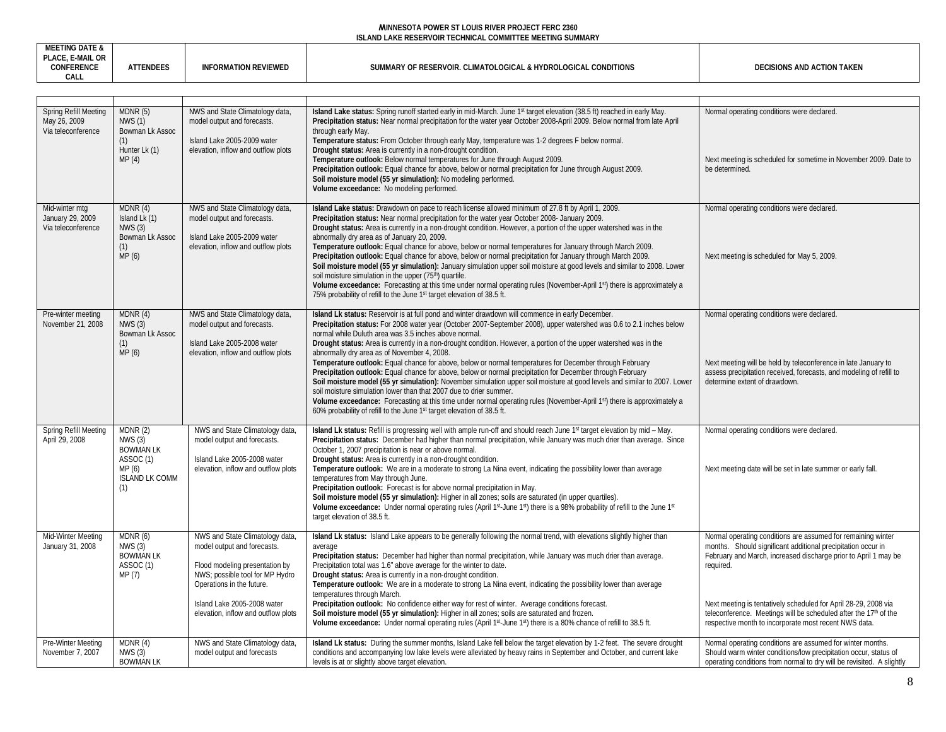|               | <b>ENULF</b> | TION<br>$H$ $R$ $F$ $V$ | J HYDROLOG'″ |  |
|---------------|--------------|-------------------------|--------------|--|
| $\sim$ $\sim$ |              |                         |              |  |

| Spring Refill Meeting                                    | MDNR(5)                                                                                       | NWS and State Climatology data,                                                                                                                                                                                                       | Island Lake status: Spring runoff started early in mid-March. June 1st target elevation (38.5 ft) reached in early May.                                                                                                                                                                                                                                                                                                                                                                                                                                                                                                                                                                                                                                                                                                                                                                                                                                                                                                                                                                            | Normal operating conditions were declared.                                                                                                                                                                                                                                                                                                                                                                               |
|----------------------------------------------------------|-----------------------------------------------------------------------------------------------|---------------------------------------------------------------------------------------------------------------------------------------------------------------------------------------------------------------------------------------|----------------------------------------------------------------------------------------------------------------------------------------------------------------------------------------------------------------------------------------------------------------------------------------------------------------------------------------------------------------------------------------------------------------------------------------------------------------------------------------------------------------------------------------------------------------------------------------------------------------------------------------------------------------------------------------------------------------------------------------------------------------------------------------------------------------------------------------------------------------------------------------------------------------------------------------------------------------------------------------------------------------------------------------------------------------------------------------------------|--------------------------------------------------------------------------------------------------------------------------------------------------------------------------------------------------------------------------------------------------------------------------------------------------------------------------------------------------------------------------------------------------------------------------|
| May 26, 2009<br>Via teleconference                       | <b>NWS (1)</b><br>Bowman Lk Assoc<br>(1)<br>Hunter Lk (1)<br>MP(4)                            | model output and forecasts.<br>Island Lake 2005-2009 water<br>elevation, inflow and outflow plots                                                                                                                                     | Precipitation status: Near normal precipitation for the water year October 2008-April 2009. Below normal from late April<br>through early May.<br>Temperature status: From October through early May, temperature was 1-2 degrees F below normal.<br>Drought status: Area is currently in a non-drought condition.<br>Temperature outlook: Below normal temperatures for June through August 2009.<br>Precipitation outlook: Equal chance for above, below or normal precipitation for June through August 2009.<br>Soil moisture model (55 yr simulation): No modeling performed.<br>Volume exceedance: No modeling performed.                                                                                                                                                                                                                                                                                                                                                                                                                                                                    | Next meeting is scheduled for sometime in November 2009. Date to<br>be determined.                                                                                                                                                                                                                                                                                                                                       |
| Mid-winter mtg<br>January 29, 2009<br>Via teleconference | MDNR(4)<br>Island Lk (1)<br>NWS(3)<br>Bowman Lk Assoc<br>(1)<br>MP (6)                        | NWS and State Climatology data,<br>model output and forecasts.<br>Island Lake 2005-2009 water<br>elevation, inflow and outflow plots                                                                                                  | Island Lake status: Drawdown on pace to reach license allowed minimum of 27.8 ft by April 1, 2009.<br>Precipitation status: Near normal precipitation for the water year October 2008- January 2009.<br>Drought status: Area is currently in a non-drought condition. However, a portion of the upper watershed was in the<br>abnormally dry area as of January 20, 2009.<br>Temperature outlook: Equal chance for above, below or normal temperatures for January through March 2009.<br>Precipitation outlook: Equal chance for above, below or normal precipitation for January through March 2009.<br>Soil moisture model (55 yr simulation): January simulation upper soil moisture at good levels and similar to 2008. Lower<br>soil moisture simulation in the upper (75 <sup>th</sup> ) quartile.<br>Volume exceedance: Forecasting at this time under normal operating rules (November-April 1st) there is approximately a<br>75% probability of refill to the June 1st target elevation of 38.5 ft.                                                                                      | Normal operating conditions were declared.<br>Next meeting is scheduled for May 5, 2009.                                                                                                                                                                                                                                                                                                                                 |
| Pre-winter meeting<br>November 21, 2008                  | MDNR (4)<br>NWS(3)<br>Bowman Lk Assoc<br>(1)<br>MP(6)                                         | NWS and State Climatology data,<br>model output and forecasts.<br>Island Lake 2005-2008 water<br>elevation, inflow and outflow plots                                                                                                  | Island Lk status: Reservoir is at full pond and winter drawdown will commence in early December.<br>Precipitation status: For 2008 water year (October 2007-September 2008), upper watershed was 0.6 to 2.1 inches below<br>normal while Duluth area was 3.5 inches above normal.<br>Drought status: Area is currently in a non-drought condition. However, a portion of the upper watershed was in the<br>abnormally dry area as of November 4, 2008.<br>Temperature outlook: Equal chance for above, below or normal temperatures for December through February<br>Precipitation outlook: Equal chance for above, below or normal precipitation for December through February<br>Soil moisture model (55 yr simulation): November simulation upper soil moisture at good levels and similar to 2007. Lower<br>soil moisture simulation lower than that 2007 due to drier summer.<br>Volume exceedance: Forecasting at this time under normal operating rules (November-April 1st) there is approximately a<br>60% probability of refill to the June 1 <sup>st</sup> target elevation of 38.5 ft. | Normal operating conditions were declared.<br>Next meeting will be held by teleconference in late January to<br>assess precipitation received, forecasts, and modeling of refill to<br>determine extent of drawdown.                                                                                                                                                                                                     |
| Spring Refill Meeting<br>April 29, 2008                  | MDNR(2)<br>NWS (3)<br><b>BOWMAN LK</b><br>ASSOC (1)<br>MP (6)<br><b>ISLAND LK COMM</b><br>(1) | NWS and State Climatology data<br>model output and forecasts.<br>Island Lake 2005-2008 water<br>elevation, inflow and outflow plots                                                                                                   | Island Lk status: Refill is progressing well with ample run-off and should reach June 1st target elevation by mid - May.<br>Precipitation status: December had higher than normal precipitation, while January was much drier than average. Since<br>October 1, 2007 precipitation is near or above normal.<br>Drought status: Area is currently in a non-drought condition.<br>Temperature outlook: We are in a moderate to strong La Nina event, indicating the possibility lower than average<br>temperatures from May through June.<br>Precipitation outlook: Forecast is for above normal precipitation in May.<br>Soil moisture model (55 yr simulation): Higher in all zones; soils are saturated (in upper quartiles).<br>Volume exceedance: Under normal operating rules (April 1 <sup>st</sup> -June 1 <sup>st</sup> ) there is a 98% probability of refill to the June 1 <sup>st</sup><br>target elevation of 38.5 ft.                                                                                                                                                                  | Normal operating conditions were declared.<br>Next meeting date will be set in late summer or early fall.                                                                                                                                                                                                                                                                                                                |
| Mid-Winter Meeting<br>January 31, 2008                   | MDNR (6)<br>NWS(3)<br><b>BOWMAN LK</b><br>ASSOC (1)<br>MP (7)                                 | NWS and State Climatology data<br>model output and forecasts.<br>Flood modeling presentation by<br>NWS; possible tool for MP Hydro<br>Operations in the future.<br>Island Lake 2005-2008 water<br>elevation, inflow and outflow plots | Island Lk status: Island Lake appears to be generally following the normal trend, with elevations slightly higher than<br>average<br>Precipitation status: December had higher than normal precipitation, while January was much drier than average.<br>Precipitation total was 1.6" above average for the winter to date.<br>Drought status: Area is currently in a non-drought condition.<br>Temperature outlook: We are in a moderate to strong La Nina event, indicating the possibility lower than average<br>temperatures through March.<br>Precipitation outlook: No confidence either way for rest of winter. Average conditions forecast.<br>Soil moisture model (55 yr simulation): Higher in all zones; soils are saturated and frozen.<br>Volume exceedance: Under normal operating rules (April 1 <sup>st</sup> -June 1 <sup>st</sup> ) there is a 80% chance of refill to 38.5 ft.                                                                                                                                                                                                   | Normal operating conditions are assumed for remaining winter<br>months. Should significant additional precipitation occur in<br>February and March, increased discharge prior to April 1 may be<br>required.<br>Next meeting is tentatively scheduled for April 28-29, 2008 via<br>teleconference. Meetings will be scheduled after the 17 <sup>th</sup> of the<br>respective month to incorporate most recent NWS data. |
| Pre-Winter Meeting<br>November 7, 2007                   | MDNR(4)<br>NWS(3)<br><b>BOWMAN LK</b>                                                         | NWS and State Climatology data<br>model output and forecasts                                                                                                                                                                          | Island Lk status: During the summer months, Island Lake fell below the target elevation by 1-2 feet. The severe drought<br>conditions and accompanying low lake levels were alleviated by heavy rains in September and October, and current lake<br>levels is at or slightly above target elevation.                                                                                                                                                                                                                                                                                                                                                                                                                                                                                                                                                                                                                                                                                                                                                                                               | Normal operating conditions are assumed for winter months.<br>Should warm winter conditions/low precipitation occur, status of<br>operating conditions from normal to dry will be revisited. A slightly                                                                                                                                                                                                                  |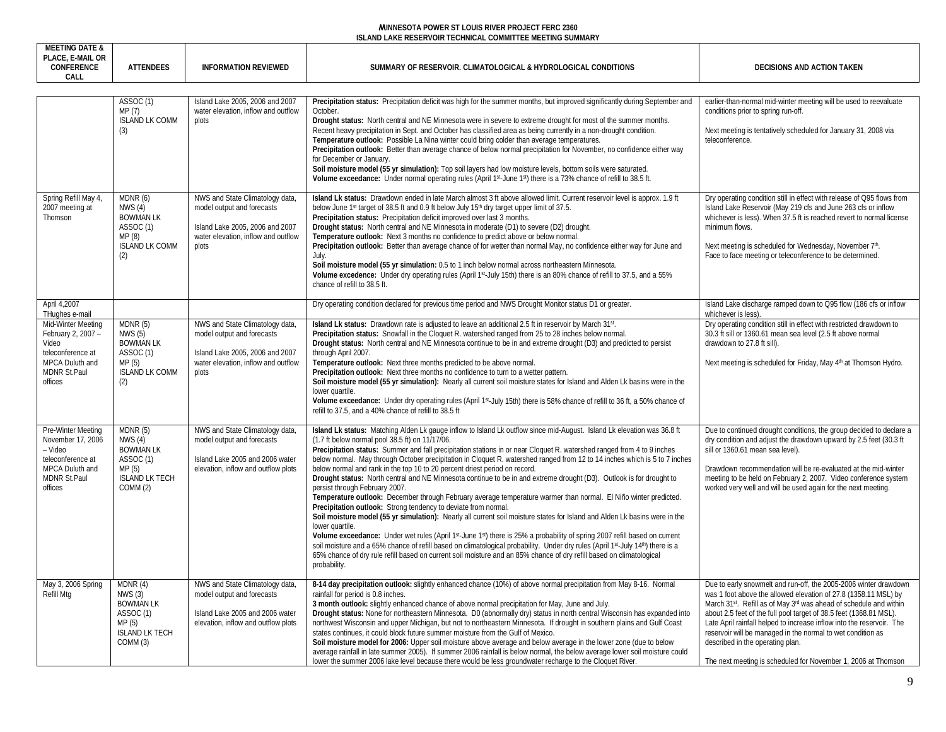| <b>MEETING DATE &amp;</b><br>PLACE, E-MAIL OR<br><b>CONFERENCE</b><br>CALL                                                  | <b>ATTENDEES</b>                                                                                        | <b>INFORMATION REVIEWED</b>                                                                                                                      | SUMMARY OF RESERVOIR. CLIMATOLOGICAL & HYDROLOGICAL CONDITIONS                                                                                                                                                                                                                                                                                                                                                                                                                                                                                                                                                                                                                                                                                                                                                                                                                                                                                                                                                                                                                                                                                                                                                                                                                                                                                                                                                           | <b>DECISIONS AND ACTION TAKEN</b>                                                                                                                                                                                                                                                                                                                                                                                                                                                                                                                    |
|-----------------------------------------------------------------------------------------------------------------------------|---------------------------------------------------------------------------------------------------------|--------------------------------------------------------------------------------------------------------------------------------------------------|--------------------------------------------------------------------------------------------------------------------------------------------------------------------------------------------------------------------------------------------------------------------------------------------------------------------------------------------------------------------------------------------------------------------------------------------------------------------------------------------------------------------------------------------------------------------------------------------------------------------------------------------------------------------------------------------------------------------------------------------------------------------------------------------------------------------------------------------------------------------------------------------------------------------------------------------------------------------------------------------------------------------------------------------------------------------------------------------------------------------------------------------------------------------------------------------------------------------------------------------------------------------------------------------------------------------------------------------------------------------------------------------------------------------------|------------------------------------------------------------------------------------------------------------------------------------------------------------------------------------------------------------------------------------------------------------------------------------------------------------------------------------------------------------------------------------------------------------------------------------------------------------------------------------------------------------------------------------------------------|
|                                                                                                                             |                                                                                                         |                                                                                                                                                  |                                                                                                                                                                                                                                                                                                                                                                                                                                                                                                                                                                                                                                                                                                                                                                                                                                                                                                                                                                                                                                                                                                                                                                                                                                                                                                                                                                                                                          |                                                                                                                                                                                                                                                                                                                                                                                                                                                                                                                                                      |
|                                                                                                                             | ASSOC(1)<br>MP (7)<br><b>ISLAND LK COMM</b><br>(3)                                                      | Island Lake 2005, 2006 and 2007<br>water elevation, inflow and outflow<br>plots                                                                  | Precipitation status: Precipitation deficit was high for the summer months, but improved significantly during September and<br>October.<br>Drought status: North central and NE Minnesota were in severe to extreme drought for most of the summer months.<br>Recent heavy precipitation in Sept. and October has classified area as being currently in a non-drought condition.<br>Temperature outlook: Possible La Nina winter could bring colder than average temperatures.<br>Precipitation outlook: Better than average chance of below normal precipitation for November, no confidence either way<br>for December or January.<br>Soil moisture model (55 yr simulation): Top soil layers had low moisture levels, bottom soils were saturated.<br>Volume exceedance: Under normal operating rules (April 1st-June 1st) there is a 73% chance of refill to 38.5 ft.                                                                                                                                                                                                                                                                                                                                                                                                                                                                                                                                                | earlier-than-normal mid-winter meeting will be used to reevaluate<br>conditions prior to spring run-off.<br>Next meeting is tentatively scheduled for January 31, 2008 via<br>teleconference.                                                                                                                                                                                                                                                                                                                                                        |
| Spring Refill May 4,<br>2007 meeting at<br>Thomson                                                                          | MDNR (6)<br>NWS(4)<br><b>BOWMAN LK</b><br>ASSOC(1)<br>MP(8)<br><b>ISLAND LK COMM</b><br>(2)             | NWS and State Climatology data,<br>model output and forecasts<br>Island Lake 2005, 2006 and 2007<br>water elevation, inflow and outflow<br>plots | Island Lk status: Drawdown ended in late March almost 3 ft above allowed limit. Current reservoir level is approx. 1.9 ft<br>below June 1 <sup>st</sup> target of 38.5 ft and 0.9 ft below July 15 <sup>th</sup> dry target upper limit of 37.5.<br>Precipitation status: Precipitation deficit improved over last 3 months.<br>Drought status: North central and NE Minnesota in moderate (D1) to severe (D2) drought.<br>Temperature outlook: Next 3 months no confidence to predict above or below normal.<br>Precipitation outlook: Better than average chance of for wetter than normal May, no confidence either way for June and<br>July.<br>Soil moisture model (55 yr simulation: 0.5 to 1 inch below normal across northeastern Minnesota.<br>Volume excedence: Under dry operating rules (April 1st July 15th) there is an 80% chance of refill to 37.5, and a 55%<br>chance of refill to 38.5 ft.                                                                                                                                                                                                                                                                                                                                                                                                                                                                                                            | Dry operating condition still in effect with release of Q95 flows from<br>Island Lake Reservoir (May 219 cfs and June 263 cfs or inflow<br>whichever is less). When 37.5 ft is reached revert to normal license<br>minimum flows.<br>Next meeting is scheduled for Wednesday, November 7th.<br>Face to face meeting or teleconference to be determined.                                                                                                                                                                                              |
| April 4,2007<br>THughes e-mail                                                                                              |                                                                                                         |                                                                                                                                                  | Dry operating condition declared for previous time period and NWS Drought Monitor status D1 or greater.                                                                                                                                                                                                                                                                                                                                                                                                                                                                                                                                                                                                                                                                                                                                                                                                                                                                                                                                                                                                                                                                                                                                                                                                                                                                                                                  | Island Lake discharge ramped down to Q95 flow (186 cfs or inflow<br>whichever is less)                                                                                                                                                                                                                                                                                                                                                                                                                                                               |
| Mid-Winter Meeting<br>February 2, 2007 -<br>Video<br>teleconference at<br>MPCA Duluth and<br><b>MDNR St.Paul</b><br>offices | MDNR(5)<br>NWS (5)<br><b>BOWMAN LK</b><br>ASSOC <sub>(1)</sub><br>MP(5)<br><b>ISLAND LK COMM</b><br>(2) | NWS and State Climatology data,<br>model output and forecasts<br>Island Lake 2005, 2006 and 2007<br>water elevation, inflow and outflow<br>plots | Island Lk status: Drawdown rate is adjusted to leave an additional 2.5 ft in reservoir by March 31st.<br>Precipitation status: Snowfall in the Cloquet R. watershed ranged from 25 to 28 inches below normal.<br>Drought status: North central and NE Minnesota continue to be in and extreme drought (D3) and predicted to persist<br>through April 2007.<br>Temperature outlook: Next three months predicted to be above normal.<br>Precipitation outlook: Next three months no confidence to turn to a wetter pattern.<br>Soil moisture model (55 yr simulation): Nearly all current soil moisture states for Island and Alden Lk basins were in the<br>lower quartile.<br>Volume exceedance: Under dry operating rules (April 1st-July 15th) there is 58% chance of refill to 36 ft, a 50% chance of<br>refill to 37.5, and a 40% chance of refill to 38.5 ft                                                                                                                                                                                                                                                                                                                                                                                                                                                                                                                                                        | Dry operating condition still in effect with restricted drawdown to<br>30.3 ft sill or 1360.61 mean sea level (2.5 ft above normal<br>drawdown to 27.8 ft sill).<br>Next meeting is scheduled for Friday, May 4th at Thomson Hydro.                                                                                                                                                                                                                                                                                                                  |
| Pre-Winter Meeting<br>November 17, 2006<br>- Video<br>teleconference at<br>MPCA Duluth and<br>MDNR St.Paul<br>offices       | MDNR(5)<br>NWS(4)<br><b>BOWMAN LK</b><br>ASSOC(1)<br>MP(5)<br><b>ISLAND LK TECH</b><br>COMM (2)         | NWS and State Climatology data,<br>model output and forecasts<br>Island Lake 2005 and 2006 water<br>elevation, inflow and outflow plots          | Island Lk status: Matching Alden Lk gauge inflow to Island Lk outflow since mid-August. Island Lk elevation was 36.8 ft<br>(1.7 ft below normal pool 38.5 ft) on 11/17/06.<br>Precipitation status: Summer and fall precipitation stations in or near Cloquet R. watershed ranged from 4 to 9 inches<br>below normal. May through October precipitation in Cloquet R. watershed ranged from 12 to 14 inches which is 5 to 7 inches<br>below normal and rank in the top 10 to 20 percent driest period on record.<br>Drought status: North central and NE Minnesota continue to be in and extreme drought (D3). Outlook is for drought to<br>persist through February 2007.<br>Temperature outlook: December through February average temperature warmer than normal. El Niño winter predicted.<br>Precipitation outlook: Strong tendency to deviate from normal.<br>Soil moisture model (55 yr simulation): Nearly all current soil moisture states for Island and Alden Lk basins were in the<br>lower quartile.<br>Volume exceedance: Under wet rules (April 1st-June 1st) there is 25% a probability of spring 2007 refill based on current<br>soil moisture and a 65% chance of refill based on climatological probability. Under dry rules (April 1st-July 14th) there is a<br>65% chance of dry rule refill based on current soil moisture and an 85% chance of dry refill based on climatological<br>probability. | Due to continued drought conditions, the group decided to declare a<br>dry condition and adjust the drawdown upward by 2.5 feet (30.3 ft)<br>sill or 1360.61 mean sea level).<br>Drawdown recommendation will be re-evaluated at the mid-winter<br>meeting to be held on February 2, 2007. Video conference system<br>worked very well and will be used again for the next meeting.                                                                                                                                                                  |
| May 3, 2006 Spring<br>Refill Mtg                                                                                            | MDNR(4)<br>NWS(3)<br><b>BOWMAN LK</b><br>ASSOC (1)<br>MP(5)<br><b>ISLAND LK TECH</b><br>COMM (3)        | NWS and State Climatology data,<br>model output and forecasts<br>Island Lake 2005 and 2006 water<br>elevation, inflow and outflow plots          | 8-14 day precipitation outlook: slightly enhanced chance (10%) of above normal precipitation from May 8-16. Normal<br>rainfall for period is 0.8 inches.<br>3 month outlook: slightly enhanced chance of above normal precipitation for May, June and July.<br>Drought status: None for northeastern Minnesota. D0 (abnormally dry) status in north central Wisconsin has expanded into<br>northwest Wisconsin and upper Michigan, but not to northeastern Minnesota. If drought in southern plains and Gulf Coast<br>states continues, it could block future summer moisture from the Gulf of Mexico.<br>Soil moisture model for 2006: Upper soil moisture above average and below average in the lower zone (due to below<br>average rainfall in late summer 2005). If summer 2006 rainfall is below normal, the below average lower soil moisture could<br>lower the summer 2006 lake level because there would be less groundwater recharge to the Cloquet River.                                                                                                                                                                                                                                                                                                                                                                                                                                                    | Due to early snowmelt and run-off, the 2005-2006 winter drawdown<br>was 1 foot above the allowed elevation of 27.8 (1358.11 MSL) by<br>March 31 <sup>st</sup> . Refill as of May 3 <sup>rd</sup> was ahead of schedule and within<br>about 2.5 feet of the full pool target of 38.5 feet (1368.81 MSL).<br>Late April rainfall helped to increase inflow into the reservoir. The<br>reservoir will be managed in the normal to wet condition as<br>described in the operating plan.<br>The next meeting is scheduled for November 1, 2006 at Thomson |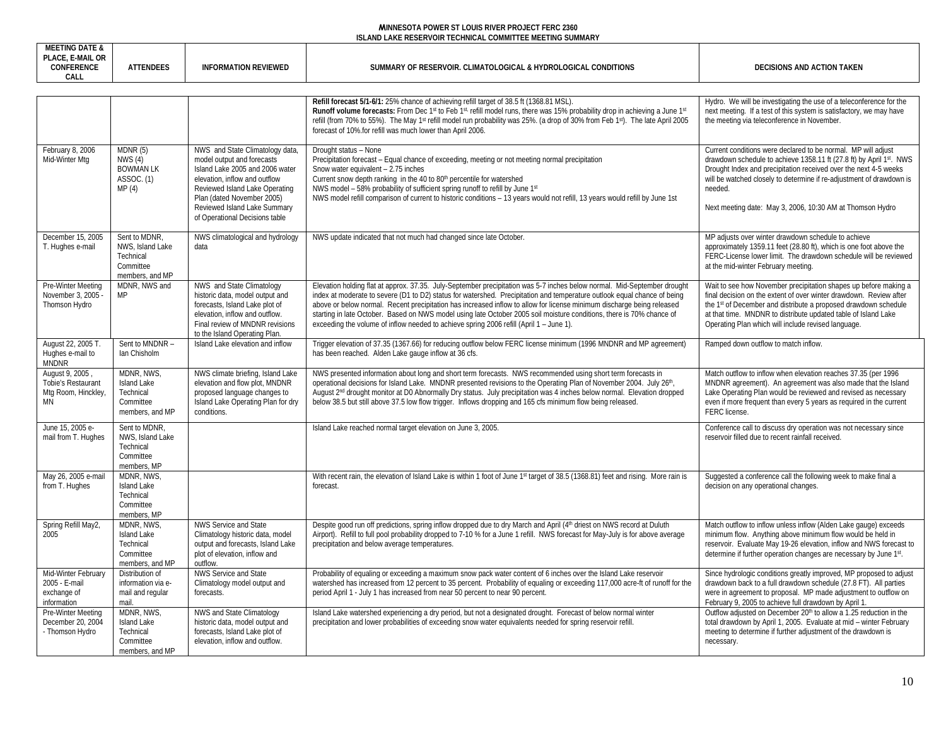| <b>MEETING DATE &amp;</b><br>PLACE, E-MAIL OR<br><b>CONFERENCE</b><br>CALL | <b>ATTENDEES</b>                                                               | <b>INFORMATION REVIEWED</b>                                                                                                                                                                                                                                         | SUMMARY OF RESERVOIR. CLIMATOLOGICAL & HYDROLOGICAL CONDITIONS                                                                                                                                                                                                                                                                                                                                                                                                                                                                                                                                     | DECISIONS AND ACTION TAKEN                                                                                                                                                                                                                                                                                                                               |
|----------------------------------------------------------------------------|--------------------------------------------------------------------------------|---------------------------------------------------------------------------------------------------------------------------------------------------------------------------------------------------------------------------------------------------------------------|----------------------------------------------------------------------------------------------------------------------------------------------------------------------------------------------------------------------------------------------------------------------------------------------------------------------------------------------------------------------------------------------------------------------------------------------------------------------------------------------------------------------------------------------------------------------------------------------------|----------------------------------------------------------------------------------------------------------------------------------------------------------------------------------------------------------------------------------------------------------------------------------------------------------------------------------------------------------|
|                                                                            |                                                                                |                                                                                                                                                                                                                                                                     | Refill forecast 5/1-6/1: 25% chance of achieving refill target of 38.5 ft (1368.81 MSL).<br>Runoff volume forecasts: From Dec 1st to Feb 1st refill model runs, there was 15% probability drop in achieving a June 1st<br>refill (from 70% to 55%). The May 1 <sup>st</sup> refill model run probability was 25%. (a drop of 30% from Feb 1st). The late April 2005<br>forecast of 10% for refill was much lower than April 2006.                                                                                                                                                                  | Hydro. We will be investigating the use of a teleconference for the<br>next meeting. If a test of this system is satisfactory, we may have<br>the meeting via teleconference in November.                                                                                                                                                                |
| February 8, 2006<br>Mid-Winter Mtg                                         | MDNR(5)<br>NWS(4)<br><b>BOWMAN LK</b><br>ASSOC. (1)<br>MP(4)                   | NWS and State Climatology data,<br>model output and forecasts<br>Island Lake 2005 and 2006 water<br>elevation, inflow and outflow<br>Reviewed Island Lake Operating<br>Plan (dated November 2005)<br>Reviewed Island Lake Summary<br>of Operational Decisions table | Drought status - None<br>Precipitation forecast – Equal chance of exceeding, meeting or not meeting normal precipitation<br>Snow water equivalent - 2.75 inches<br>Current snow depth ranking in the 40 to 80 <sup>th</sup> percentile for watershed<br>NWS model - 58% probability of sufficient spring runoff to refill by June 1st<br>NWS model refill comparison of current to historic conditions - 13 years would not refill, 13 years would refill by June 1st                                                                                                                              | Current conditions were declared to be normal. MP will adjust<br>drawdown schedule to achieve 1358.11 ft (27.8 ft) by April 1st. NWS<br>Drought Index and precipitation received over the next 4-5 weeks<br>will be watched closely to determine if re-adjustment of drawdown is<br>needed.<br>Next meeting date: May 3, 2006, 10:30 AM at Thomson Hydro |
| December 15, 2005<br>T. Hughes e-mail                                      | Sent to MDNR,<br>NWS, Island Lake<br>Technical<br>Committee<br>members, and MP | NWS climatological and hydrology<br>data                                                                                                                                                                                                                            | NWS update indicated that not much had changed since late October.                                                                                                                                                                                                                                                                                                                                                                                                                                                                                                                                 | MP adjusts over winter drawdown schedule to achieve<br>approximately 1359.11 feet (28.80 ft), which is one foot above the<br>FERC-License lower limit. The drawdown schedule will be reviewed<br>at the mid-winter February meeting.                                                                                                                     |
| Pre-Winter Meeting<br>November 3, 2005<br>Thomson Hydro                    | MDNR, NWS and<br>MP                                                            | NWS and State Climatology<br>historic data, model output and<br>forecasts, Island Lake plot of<br>elevation, inflow and outflow.<br>Final review of MNDNR revisions<br>to the Island Operating Plan.                                                                | Elevation holding flat at approx. 37.35. July-September precipitation was 5-7 inches below normal. Mid-September drought<br>index at moderate to severe (D1 to D2) status for watershed. Precipitation and temperature outlook equal chance of being<br>above or below normal. Recent precipitation has increased inflow to allow for license minimum discharge being released<br>starting in late October. Based on NWS model using late October 2005 soil moisture conditions, there is 70% chance of<br>exceeding the volume of inflow needed to achieve spring 2006 refill (April 1 - June 1). | Wait to see how November precipitation shapes up before making a<br>final decision on the extent of over winter drawdown. Review after<br>the 1 <sup>st</sup> of December and distribute a proposed drawdown schedule<br>at that time. MNDNR to distribute updated table of Island Lake<br>Operating Plan which will include revised language.           |
| August 22, 2005 T<br>Hughes e-mail to<br><b>MNDNR</b>                      | Sent to MNDNR -<br>Ian Chisholm                                                | Island Lake elevation and inflow                                                                                                                                                                                                                                    | Trigger elevation of 37.35 (1367.66) for reducing outflow below FERC license minimum (1996 MNDNR and MP agreement)<br>has been reached. Alden Lake gauge inflow at 36 cfs.                                                                                                                                                                                                                                                                                                                                                                                                                         | Ramped down outflow to match inflow.                                                                                                                                                                                                                                                                                                                     |
| August 9, 2005<br>Tobie's Restaurant<br>Mtg Room, Hinckley,<br><b>MN</b>   | MDNR, NWS,<br>Island Lake<br>Technical<br>Committee<br>members, and MP         | NWS climate briefing, Island Lake<br>elevation and flow plot, MNDNR<br>proposed language changes to<br>Island Lake Operating Plan for dry<br>conditions.                                                                                                            | NWS presented information about long and short term forecasts. NWS recommended using short term forecasts in<br>operational decisions for Island Lake. MNDNR presented revisions to the Operating Plan of November 2004. July 26 <sup>th</sup> ,<br>August 2 <sup>nd</sup> drought monitor at D0 Abnormally Dry status. July precipitation was 4 inches below normal. Elevation dropped<br>below 38.5 but still above 37.5 low flow trigger. Inflows dropping and 165 cfs minimum flow being released.                                                                                             | Match outflow to inflow when elevation reaches 37.35 (per 1996<br>MNDNR agreement). An agreement was also made that the Island<br>Lake Operating Plan would be reviewed and revised as necessary<br>even if more frequent than every 5 years as required in the current<br>FERC license.                                                                 |
| June 15, 2005 e-<br>mail from T. Hughes                                    | Sent to MDNR.<br>NWS, Island Lake<br>Technical<br>Committee<br>members, MP     |                                                                                                                                                                                                                                                                     | Island Lake reached normal target elevation on June 3, 2005.                                                                                                                                                                                                                                                                                                                                                                                                                                                                                                                                       | Conference call to discuss dry operation was not necessary since<br>reservoir filled due to recent rainfall received.                                                                                                                                                                                                                                    |
| May 26, 2005 e-mail<br>from T. Hughes                                      | MDNR, NWS,<br>Island Lake<br>Technical<br>Committee<br>members, MP             |                                                                                                                                                                                                                                                                     | With recent rain, the elevation of Island Lake is within 1 foot of June 1st target of 38.5 (1368.81) feet and rising. More rain is<br>forecast.                                                                                                                                                                                                                                                                                                                                                                                                                                                    | Suggested a conference call the following week to make final a<br>decision on any operational changes.                                                                                                                                                                                                                                                   |
| Spring Refill May2,<br>2005                                                | MDNR, NWS.<br>Island Lake<br>Technical<br>Committee<br>members, and MP         | <b>NWS Service and State</b><br>Climatology historic data, model<br>output and forecasts, Island Lake<br>plot of elevation, inflow and<br>outflow.                                                                                                                  | Despite good run off predictions, spring inflow dropped due to dry March and April (4 <sup>th</sup> driest on NWS record at Duluth<br>Airport). Refill to full pool probability dropped to 7-10 % for a June 1 refill. NWS forecast for May-July is for above average<br>precipitation and below average temperatures.                                                                                                                                                                                                                                                                             | Match outflow to inflow unless inflow (Alden Lake gauge) exceeds<br>minimum flow. Anything above minimum flow would be held in<br>reservoir. Evaluate May 19-26 elevation, inflow and NWS forecast to<br>determine if further operation changes are necessary by June 1st.                                                                               |
| Mid-Winter February<br>2005 - E-mail<br>exchange of<br>information         | Distribution of<br>information via e-<br>mail and regular<br>mail.             | NWS Service and State<br>Climatology model output and<br>forecasts.                                                                                                                                                                                                 | Probability of equaling or exceeding a maximum snow pack water content of 6 inches over the Island Lake reservoir<br>watershed has increased from 12 percent to 35 percent. Probability of equaling or exceeding 117,000 acre-ft of runoff for the<br>period April 1 - July 1 has increased from near 50 percent to near 90 percent.                                                                                                                                                                                                                                                               | Since hydrologic conditions greatly improved, MP proposed to adjust<br>drawdown back to a full drawdown schedule (27.8 FT). All parties<br>were in agreement to proposal. MP made adjustment to outflow on<br>February 9, 2005 to achieve full drawdown by April 1.                                                                                      |
| Pre-Winter Meeting<br>December 20, 2004<br>- Thomson Hydro                 | MDNR, NWS,<br>Island Lake<br>Technical<br>Committee<br>members, and MP         | NWS and State Climatology<br>historic data, model output and<br>forecasts, Island Lake plot of<br>elevation, inflow and outflow.                                                                                                                                    | Island Lake watershed experiencing a dry period, but not a designated drought. Forecast of below normal winter<br>precipitation and lower probabilities of exceeding snow water equivalents needed for spring reservoir refill                                                                                                                                                                                                                                                                                                                                                                     | Outflow adjusted on December 20th to allow a 1.25 reduction in the<br>total drawdown by April 1, 2005. Evaluate at mid - winter February<br>meeting to determine if further adjustment of the drawdown is<br>necessary.                                                                                                                                  |